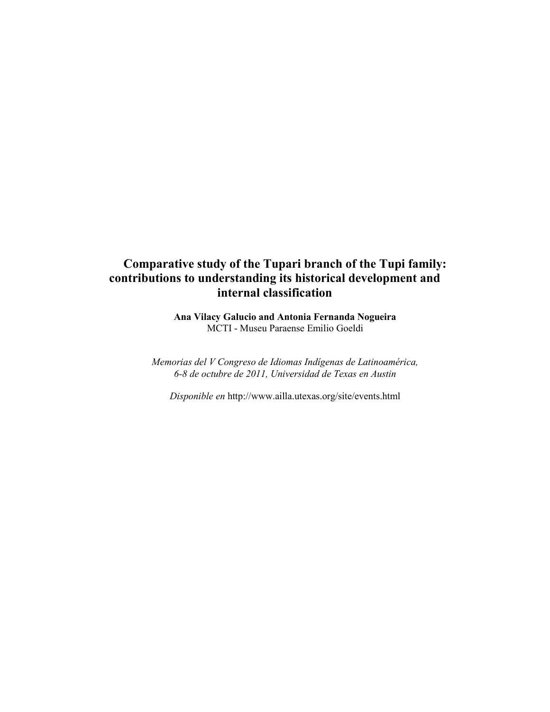# **Comparative study of the Tupari branch of the Tupi family: contributions to understanding its historical development and internal classification**

**Ana Vilacy Galucio and Antonia Fernanda Nogueira** MCTI - Museu Paraense Emilio Goeldi

*Memorias del V Congreso de Idiomas Indígenas de Latinoamérica, 6-8 de octubre de 2011, Universidad de Texas en Austin*

*Disponible en* <http://www.ailla.utexas.org/site/events.html>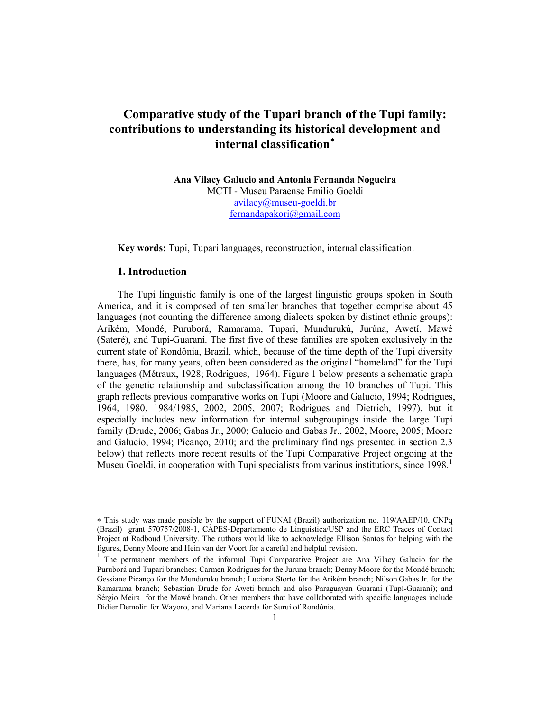# **Comparative study of the Tupari branch of the Tupi family: contributions to understanding its historical development and internal classification**[∗](#page-1-0)

**Ana Vilacy Galucio and Antonia Fernanda Nogueira** MCTI - Museu Paraense Emilio Goeldi [avilacy@museu-goeldi.br](mailto:avilacy@museu-goeldi.br) [fernandapakori@gmail.com](mailto:fernandapakori@gmail.com)

**Key words:** Tupi, Tupari languages, reconstruction, internal classification.

# **1. Introduction**

 $\overline{a}$ 

The Tupi linguistic family is one of the largest linguistic groups spoken in South America, and it is composed of ten smaller branches that together comprise about 45 languages (not counting the difference among dialects spoken by distinct ethnic groups): Arikém, Mondé, Puruborá, Ramarama, Tupari, Mundurukú, Jurúna, Awetí, Mawé (Sateré), and Tupí-Guaraní. The first five of these families are spoken exclusively in the current state of Rondônia, Brazil, which, because of the time depth of the Tupi diversity there, has, for many years, often been considered as the original "homeland" for the Tupi languages (Métraux, 1928; Rodrigues, 1964). Figure 1 below presents a schematic graph of the genetic relationship and subclassification among the 10 branches of Tupi. This graph reflects previous comparative works on Tupi (Moore and Galucio, 1994; Rodrigues, 1964, 1980, 1984/1985, 2002, 2005, 2007; Rodrigues and Dietrich, 1997), but it especially includes new information for internal subgroupings inside the large Tupi family (Drude, 2006; Gabas Jr., 2000; Galucio and Gabas Jr., 2002, Moore, 2005; Moore and Galucio, 1994; Picanço, 2010; and the preliminary findings presented in section 2.3 below) that reflects more recent results of the Tupi Comparative Project ongoing at the Museu Goeldi, in cooperation with Tupi specialists from various institutions, since [1](#page-1-1)998.<sup>1</sup>

<span id="page-1-0"></span><sup>∗</sup> This study was made posible by the support of FUNAI (Brazil) authorization no. 119/AAEP/10, CNPq (Brazil) grant 570757/2008-1, CAPES-Departamento de Linguística/USP and the ERC Traces of Contact Project at Radboud University. The authors would like to acknowledge Ellison Santos for helping with the

<span id="page-1-2"></span><span id="page-1-1"></span>figures, Denny Moore and Hein van der Voort for a careful and helpful revision.<br><sup>1</sup> The permanent members of the informal Tupi Comparative Project are Ana Vilacy Galucio for the Puruborá and Tupari branches; Carmen Rodrigues for the Juruna branch; Denny Moore for the Mondé branch; Gessiane Picanço for the Munduruku branch; Luciana Storto for the Arikém branch; Nilson Gabas Jr. for the Ramarama branch; Sebastian Drude for Aweti branch and also Paraguayan Guaraní (Tupí-Guaraní); and Sérgio Meira for the Mawé branch. Other members that have collaborated with specific languages include Didier Demolin for Wayoro, and Mariana Lacerda for Suruí of Rondônia.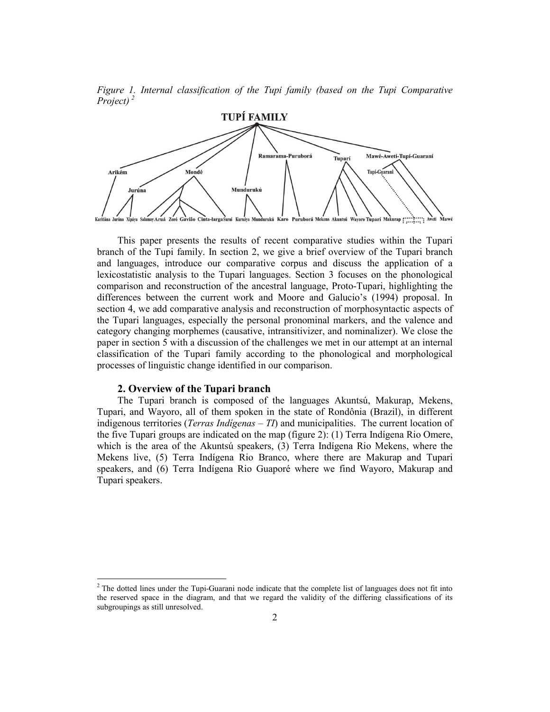*Figure 1. Internal classification of the Tupi family (based on the Tupi Comparative Project) [2](#page-1-2)*



This paper presents the results of recent comparative studies within the Tupari branch of the Tupi family. In section 2, we give a brief overview of the Tupari branch and languages, introduce our comparative corpus and discuss the application of a lexicostatistic analysis to the Tupari languages. Section 3 focuses on the phonological comparison and reconstruction of the ancestral language, Proto-Tupari, highlighting the differences between the current work and Moore and Galucio's (1994) proposal. In section 4, we add comparative analysis and reconstruction of morphosyntactic aspects of the Tupari languages, especially the personal pronominal markers, and the valence and category changing morphemes (causative, intransitivizer, and nominalizer). We close the paper in section 5 with a discussion of the challenges we met in our attempt at an internal classification of the Tupari family according to the phonological and morphological processes of linguistic change identified in our comparison.

#### **2. Overview of the Tupari branch**

The Tupari branch is composed of the languages Akuntsú, Makurap, Mekens, Tupari, and Wayoro, all of them spoken in the state of Rondônia (Brazil), in different indigenous territories (*Terras Indígenas – TI*) and municipalities. The current location of the five Tupari groups are indicated on the map (figure 2): (1) Terra Indígena Rio Omere, which is the area of the Akuntsú speakers, (3) Terra Indígena Rio Mekens, where the Mekens live, (5) Terra Indígena Rio Branco, where there are Makurap and Tupari speakers, and (6) Terra Indígena Rio Guaporé where we find Wayoro, Makurap and Tupari speakers.

<span id="page-2-0"></span> $2$ <sup>2</sup> The dotted lines under the Tupi-Guarani node indicate that the complete list of languages does not fit into the reserved space in the diagram, and that we regard the validity of the differing classifications of its subgroupings as still unresolved.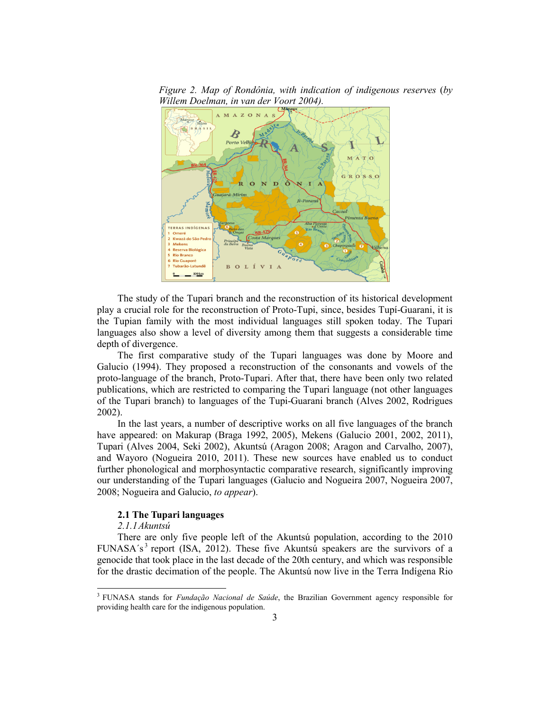

*Figure 2. Map of Rondônia, with indication of indigenous reserves* (*by Willem Doelman, in van der Voort 2004).*

The study of the Tupari branch and the reconstruction of its historical development play a crucial role for the reconstruction of Proto-Tupi, since, besides Tupí-Guarani, it is the Tupian family with the most individual languages still spoken today. The Tupari languages also show a level of diversity among them that suggests a considerable time depth of divergence.

The first comparative study of the Tupari languages was done by Moore and Galucio (1994). They proposed a reconstruction of the consonants and vowels of the proto-language of the branch, Proto-Tupari. After that, there have been only two related publications, which are restricted to comparing the Tupari language (not other languages of the Tupari branch) to languages of the Tupi-Guarani branch (Alves 2002, Rodrigues 2002).

In the last years, a number of descriptive works on all five languages of the branch have appeared: on Makurap (Braga 1992, 2005), Mekens (Galucio 2001, 2002, 2011), Tupari (Alves 2004, Seki 2002), Akuntsú (Aragon 2008; Aragon and Carvalho, 2007), and Wayoro (Nogueira 2010, 2011). These new sources have enabled us to conduct further phonological and morphosyntactic comparative research, significantly improving our understanding of the Tupari languages (Galucio and Nogueira 2007, Nogueira 2007, 2008; Nogueira and Galucio, *to appear*).

## **2.1 The Tupari languages**

#### *2.1.1Akuntsú*

<span id="page-3-0"></span>There are only five people left of the Akuntsú population, according to the 2010 FUNASA's<sup>[3](#page-2-0)</sup> report (ISA, 2012). These five Akuntsú speakers are the survivors of a genocide that took place in the last decade of the 20th century, and which was responsible for the drastic decimation of the people. The Akuntsú now live in the Terra Indígena Rio

 <sup>3</sup> FUNASA stands for *Fundação Nacional de Saúde*, the Brazilian Government agency responsible for providing health care for the indigenous population.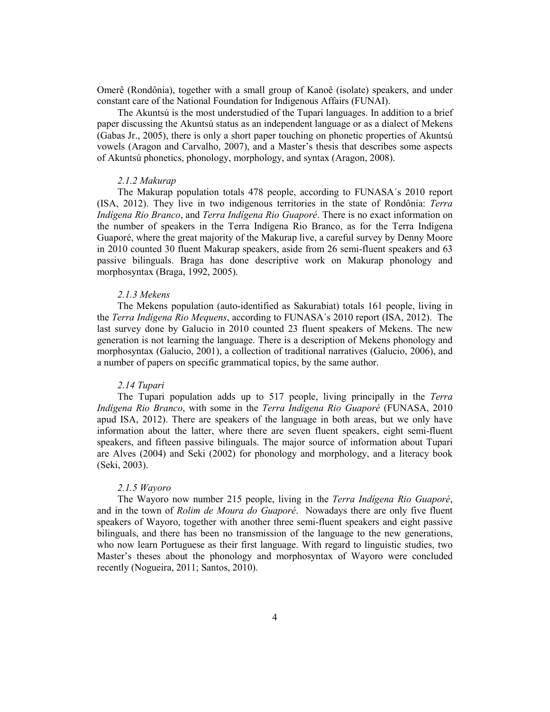Omerê (Rondônia), together with a small group of Kanoê (isolate) speakers, and under constant care of the National Foundation for Indigenous Affairs (FUNAI).

The Akuntsú is the most understudied of the Tupari languages. In addition to a brief paper discussing the Akuntsú status as an independent language or as a dialect of Mekens (Gabas Jr., 2005), there is only a short paper touching on phonetic properties of Akuntsú vowels (Aragon and Carvalho, 2007), and a Master's thesis that describes some aspects of Akuntsú phonetics, phonology, morphology, and syntax (Aragon, 2008).

## *2.1.2 Makurap*

The Makurap population totals 478 people, according to FUNASA´s 2010 report (ISA, 2012). They live in two indigenous territories in the state of Rondônia: *Terra Indígena Rio Branco*, and *Terra Indígena Rio Guaporé*. There is no exact information on the number of speakers in the Terra Indígena Rio Branco, as for the Terra Indígena Guaporé, where the great majority of the Makurap live, a careful survey by Denny Moore in 2010 counted 30 fluent Makurap speakers, aside from 26 semi-fluent speakers and 63 passive bilinguals. Braga has done descriptive work on Makurap phonology and morphosyntax (Braga, 1992, 2005).

#### *2.1.3 Mekens*

The Mekens population (auto-identified as Sakurabiat) totals 161 people, living in the *Terra Indígena Rio Mequens*, according to FUNASA´s 2010 report (ISA, 2012). The last survey done by Galucio in 2010 counted 23 fluent speakers of Mekens. The new generation is not learning the language. There is a description of Mekens phonology and morphosyntax (Galucio, 2001), a collection of traditional narratives (Galucio, 2006), and a number of papers on specific grammatical topics, by the same author.

## *2.14 Tupari*

The Tupari population adds up to 517 people, living principally in the *Terra Indígena Rio Branco*, with some in the *Terra Indígena Rio Guaporé* (FUNASA, 2010 apud ISA, 2012). There are speakers of the language in both areas, but we only have information about the latter, where there are seven fluent speakers, eight semi-fluent speakers, and fifteen passive bilinguals. The major source of information about Tupari are Alves (2004) and Seki (2002) for phonology and morphology, and a literacy book (Seki, 2003).

#### *2.1.5 Wayoro*

The Wayoro now number 215 people, living in the *Terra Indígena Rio Guaporé*, and in the town of *Rolim de Moura do Guaporé*. Nowadays there are only five fluent speakers of Wayoro, together with another three semi-fluent speakers and eight passive bilinguals, and there has been no transmission of the language to the new generations, who now learn Portuguese as their first language. With regard to linguistic studies, two Master's theses about the phonology and morphosyntax of Wayoro were concluded recently (Nogueira, 2011; Santos, 2010).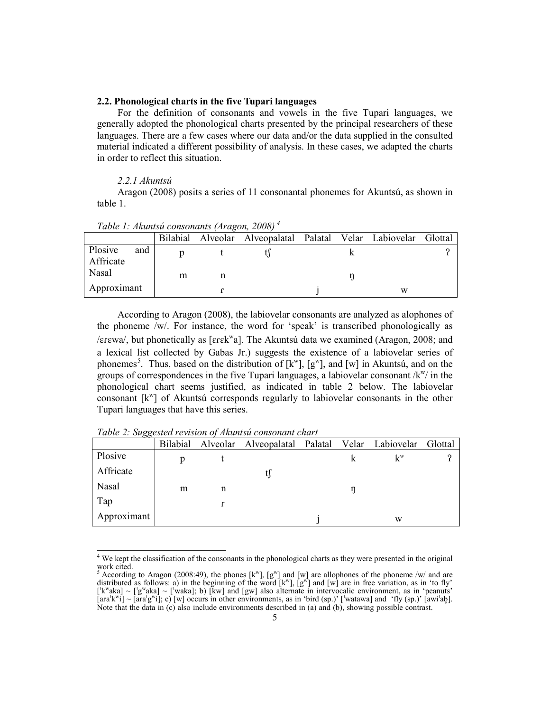## **2.2. Phonological charts in the five Tupari languages**

For the definition of consonants and vowels in the five Tupari languages, we generally adopted the phonological charts presented by the principal researchers of these languages. There are a few cases where our data and/or the data supplied in the consulted material indicated a different possibility of analysis. In these cases, we adapted the charts in order to reflect this situation.

## *2.2.1 Akuntsú*

Aragon (2008) posits a series of 11 consonantal phonemes for Akuntsú, as shown in table 1.

| Tuble 1. Analysia consonants (Aragon, 2000) |     |   |   |                                                         |  |  |   |         |
|---------------------------------------------|-----|---|---|---------------------------------------------------------|--|--|---|---------|
|                                             |     |   |   | Bilabial Alveolar Alveopalatal Palatal Velar Labiovelar |  |  |   | Glottal |
| Plosive<br>Affricate                        | and |   |   |                                                         |  |  |   |         |
| Nasal                                       |     | m | n |                                                         |  |  |   |         |
| Approximant                                 |     |   |   |                                                         |  |  | W |         |

*Table 1: Akuntsú consonants (Aragon, 2008) [4](#page-3-0)*

According to Aragon (2008), the labiovelar consonants are analyzed as alophones of the phoneme /w/. For instance, the word for 'speak' is transcribed phonologically as /erewa/, but phonetically as [erek<sup>w</sup>a]. The Akuntsú data we examined (Aragon, 2008; and a lexical list collected by Gabas Jr.) suggests the existence of a labiovelar series of phonemes<sup>[5](#page-5-0)</sup>. Thus, based on the distribution of  $[k^w]$ ,  $[g^w]$ , and  $[w]$  in Akuntsú, and on the groups of correspondences in the five Tupari languages, a labiovelar consonant  $/k^w$  in the phonological chart seems justified, as indicated in table 2 below. The labiovelar consonant  $[k^w]$  of Akuntsú corresponds regularly to labiovelar consonants in the other Tupari languages that have this series.

|             | <b>Bilabial</b> |   | Alveolar Alveopalatal Palatal Velar Labiovelar |  |       | <b>Glottal</b> |
|-------------|-----------------|---|------------------------------------------------|--|-------|----------------|
| Plosive     |                 |   |                                                |  | $k^w$ |                |
| Affricate   |                 |   |                                                |  |       |                |
| Nasal       | m               | n |                                                |  |       |                |
| Tap         |                 | r |                                                |  |       |                |
| Approximant |                 |   |                                                |  | w     |                |

*Table 2: Suggested revision of Akuntsú consonant chart* 

<sup>&</sup>lt;sup>4</sup> We kept the classification of the consonants in the phonological charts as they were presented in the original work cited.

<span id="page-5-1"></span><span id="page-5-0"></span><sup>&</sup>lt;sup>5</sup> According to Aragon (2008:49), the phones  $[k^w]$ ,  $[g^w]$  and  $[w]$  are allophones of the phoneme /w/ and are distributed as follows: a) in the beginning of the word  $[k^w]$ ,  $[g^w]$  and  $[w]$  are in free variation, as in 'to fly'  $[$ 'k<sup>w</sup>aka] ~  $[$ 'g<sup>w</sup>aka] ~  $[$ 'waka]; b) [kw] and  $[$ gw] also alternate in intervocalic environment, as in 'peanuts'  $[\text{arab}^{\text{w}}\text{i}] \sim [\text{arab}^{\text{w}}\text{i}]$ ; c)  $[\text{w}]$  occurs in other environments, as in 'bird (sp.)'  $[\text{watawa}]$  and 'fly (sp.)'  $[\text{awi}]\text{ab}$ . Note that the data in (c) also include environments described in (a) and (b), showing possible contrast.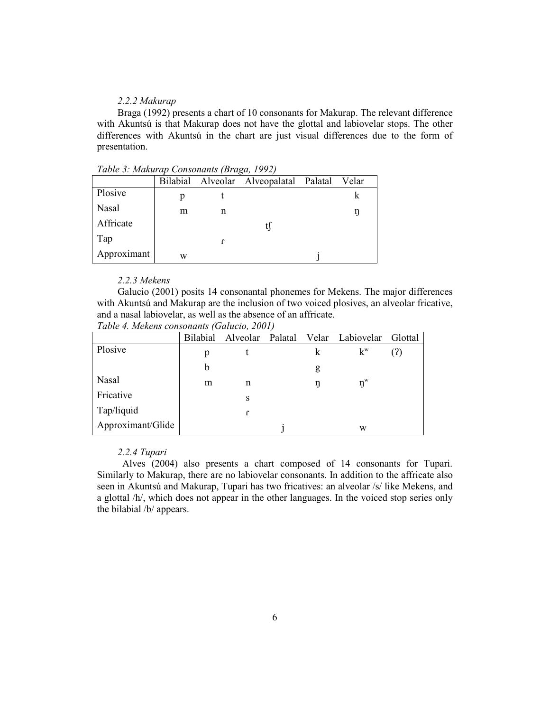## *2.2.2 Makurap*

Braga (1992) presents a chart of 10 consonants for Makurap. The relevant difference with Akuntsú is that Makurap does not have the glottal and labiovelar stops. The other differences with Akuntsú in the chart are just visual differences due to the form of presentation.

|             |   |   | Bilabial Alveolar Alveopalatal Palatal | Velar |  |
|-------------|---|---|----------------------------------------|-------|--|
| Plosive     |   |   |                                        |       |  |
| Nasal       | m | n |                                        |       |  |
| Affricate   |   |   |                                        |       |  |
| Tap         |   |   |                                        |       |  |
| Approximant | W |   |                                        |       |  |

*Table 3: Makurap Consonants (Braga, 1992)* 

#### *2.2.3 Mekens*

Galucio (2001) posits 14 consonantal phonemes for Mekens. The major differences with Akuntsú and Makurap are the inclusion of two voiced plosives, an alveolar fricative, and a nasal labiovelar, as well as the absence of an affricate. *Table 4. Mekens consonants (Galucio, 2001)*

|                   | <b>Bilabial</b> | Alveolar | Palatal |   | Velar Labiovelar             | Glottal |
|-------------------|-----------------|----------|---------|---|------------------------------|---------|
| Plosive           | р               |          |         |   | $k^w$                        | (?)     |
|                   | b               |          |         | g |                              |         |
| Nasal             | m               | n        |         | ŋ | $\mathbf{\eta}^{\mathrm{w}}$ |         |
| Fricative         |                 | S        |         |   |                              |         |
| Tap/liquid        |                 | r        |         |   |                              |         |
| Approximant/Glide |                 |          |         |   | W                            |         |

## *2.2.4 Tupari*

Alves (2004) also presents a chart composed of 14 consonants for Tupari. Similarly to Makurap, there are no labiovelar consonants. In addition to the affricate also seen in Akuntsú and Makurap, Tupari has two fricatives: an alveolar /s/ like Mekens, and a glottal /h/, which does not appear in the other languages. In the voiced stop series only the bilabial /b/ appears.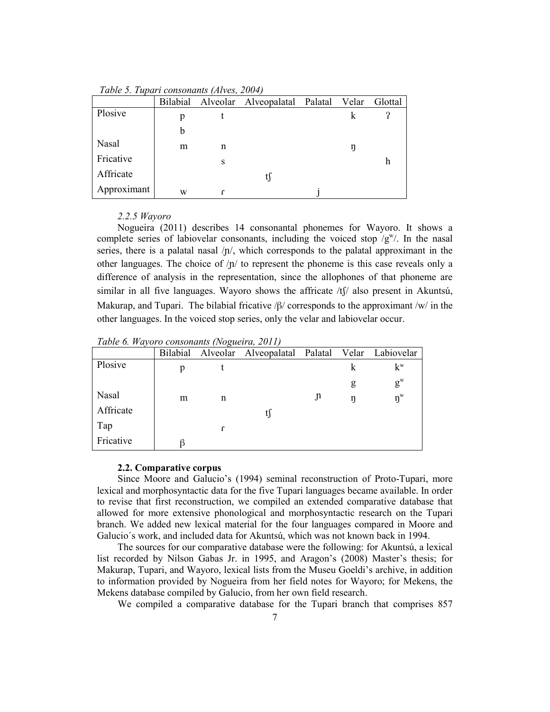*Table 5. Tupari consonants (Alves, 2004)*

|             | Bilabial |   | Alveolar Alveopalatal Palatal Velar |   | Glottal |
|-------------|----------|---|-------------------------------------|---|---------|
| Plosive     | p        |   |                                     |   |         |
|             | b        |   |                                     |   |         |
| Nasal       | m        | n |                                     | ŋ |         |
| Fricative   |          | S |                                     |   | h       |
| Affricate   |          |   |                                     |   |         |
| Approximant | W        |   |                                     |   |         |

#### *2.2.5 Wayoro*

Nogueira (2011) describes 14 consonantal phonemes for Wayoro. It shows a complete series of labiovelar consonants, including the voiced stop  $/g^w$ . In the nasal series, there is a palatal nasal  $/p/$ , which corresponds to the palatal approximant in the other languages. The choice of  $/p/$  to represent the phoneme is this case reveals only a difference of analysis in the representation, since the allophones of that phoneme are similar in all five languages. Wayoro shows the affricate  $/t\int$  also present in Akuntsú, Makurap, and Tupari. The bilabial fricative  $\beta$  corresponds to the approximant /w/ in the other languages. In the voiced stop series, only the velar and labiovelar occur.

*Table 6. Wayoro consonants (Nogueira, 2011)*

|           | Bilabial |              | Alveolar Alveopalatal Palatal Velar Labiovelar |   |   |                              |
|-----------|----------|--------------|------------------------------------------------|---|---|------------------------------|
| Plosive   | p        |              |                                                |   | k | $k^w$                        |
|           |          |              |                                                |   | g | $g^w$                        |
| Nasal     | m        | n            |                                                | J | ŋ | $\mathbf{\eta}^{\mathrm{w}}$ |
| Affricate |          |              | t)                                             |   |   |                              |
| Tap       |          | $\mathbf{r}$ |                                                |   |   |                              |
| Fricative | ß        |              |                                                |   |   |                              |

#### **2.2. Comparative corpus**

Since Moore and Galucio's (1994) seminal reconstruction of Proto-Tupari, more lexical and morphosyntactic data for the five Tupari languages became available. In order to revise that first reconstruction, we compiled an extended comparative database that allowed for more extensive phonological and morphosyntactic research on the Tupari branch. We added new lexical material for the four languages compared in Moore and Galucio´s work, and included data for Akuntsú, which was not known back in 1994.

The sources for our comparative database were the following: for Akuntsú, a lexical list recorded by Nilson Gabas Jr. in 1995, and Aragon's (2008) Master's thesis; for Makurap, Tupari, and Wayoro, lexical lists from the Museu Goeldi's archive, in addition to information provided by Nogueira from her field notes for Wayoro; for Mekens, the Mekens database compiled by Galucio, from her own field research.

We compiled a comparative database for the Tupari branch that comprises 857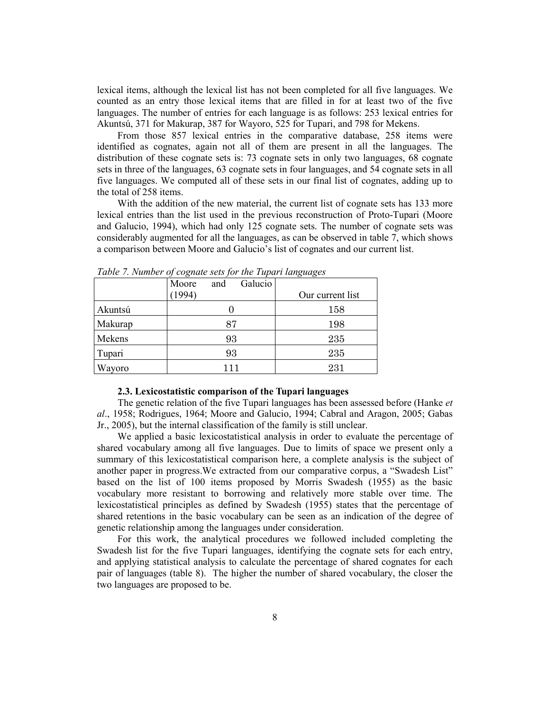lexical items, although the lexical list has not been completed for all five languages. We counted as an entry those lexical items that are filled in for at least two of the five languages. The number of entries for each language is as follows: 253 lexical entries for Akuntsú, 371 for Makurap, 387 for Wayoro, 525 for Tupari, and 798 for Mekens.

From those 857 lexical entries in the comparative database, 258 items were identified as cognates, again not all of them are present in all the languages. The distribution of these cognate sets is: 73 cognate sets in only two languages, 68 cognate sets in three of the languages, 63 cognate sets in four languages, and 54 cognate sets in all five languages. We computed all of these sets in our final list of cognates, adding up to the total of 258 items.

With the addition of the new material, the current list of cognate sets has 133 more lexical entries than the list used in the previous reconstruction of Proto-Tupari (Moore and Galucio, 1994), which had only 125 cognate sets. The number of cognate sets was considerably augmented for all the languages, as can be observed in table 7, which shows a comparison between Moore and Galucio's list of cognates and our current list.

|         | Galucio<br>Moore<br>and |                  |
|---------|-------------------------|------------------|
|         | 1994)                   | Our current list |
| Akuntsú |                         | 158              |
| Makurap | 87                      | 198              |
| Mekens  | 93                      | 235              |
| Tupari  | 93                      | 235              |
| Wayoro  | 111                     | 231              |

*Table 7. Number of cognate sets for the Tupari languages*

#### **2.3. Lexicostatistic comparison of the Tupari languages**

The genetic relation of the five Tupari languages has been assessed before (Hanke *et al*., 1958; Rodrigues, 1964; Moore and Galucio, 1994; Cabral and Aragon, 2005; Gabas Jr., 2005), but the internal classification of the family is still unclear.

We applied a basic lexicostatistical analysis in order to evaluate the percentage of shared vocabulary among all five languages. Due to limits of space we present only a summary of this lexicostatistical comparison here, a complete analysis is the subject of another paper in progress.We extracted from our comparative corpus, a "Swadesh List" based on the list of 100 items proposed by Morris Swadesh (1955) as the basic vocabulary more resistant to borrowing and relatively more stable over time. The lexicostatistical principles as defined by Swadesh (1955) states that the percentage of shared retentions in the basic vocabulary can be seen as an indication of the degree of genetic relationship among the languages under consideration.

For this work, the analytical procedures we followed included completing the Swadesh list for the five Tupari languages, identifying the cognate sets for each entry, and applying statistical analysis to calculate the percentage of shared cognates for each pair of languages (table 8). The higher the number of shared vocabulary, the closer the two languages are proposed to be.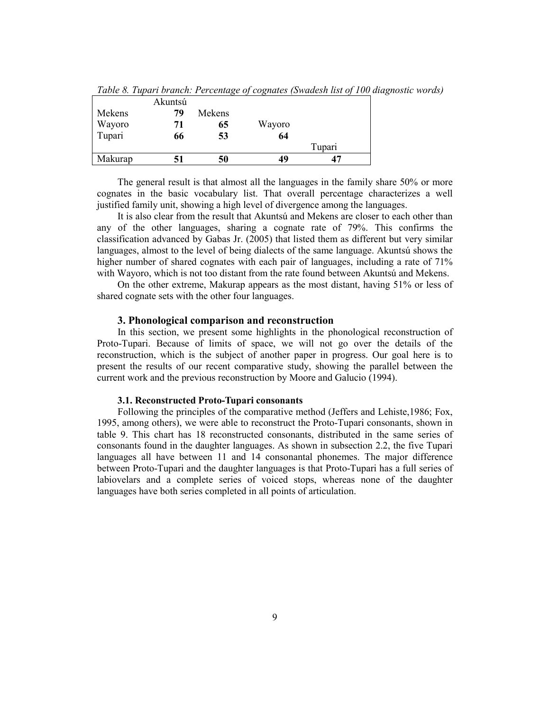|         | Akuntsú |        |        |        |  |
|---------|---------|--------|--------|--------|--|
| Mekens  | 79      | Mekens |        |        |  |
| Wayoro  | 71      | 65     | Wayoro |        |  |
| Tupari  | 66      | 53     | 64     |        |  |
|         |         |        |        | Tupari |  |
| Makurap |         | 50     | 49     |        |  |

*Table 8. Tupari branch: Percentage of cognates (Swadesh list of 100 diagnostic words)*

The general result is that almost all the languages in the family share 50% or more cognates in the basic vocabulary list. That overall percentage characterizes a well justified family unit, showing a high level of divergence among the languages.

It is also clear from the result that Akuntsú and Mekens are closer to each other than any of the other languages, sharing a cognate rate of 79%. This confirms the classification advanced by Gabas Jr. (2005) that listed them as different but very similar languages, almost to the level of being dialects of the same language. Akuntsú shows the higher number of shared cognates with each pair of languages, including a rate of 71% with Wayoro, which is not too distant from the rate found between Akuntsú and Mekens.

On the other extreme, Makurap appears as the most distant, having 51% or less of shared cognate sets with the other four languages.

#### **3. Phonological comparison and reconstruction**

In this section, we present some highlights in the phonological reconstruction of Proto-Tupari. Because of limits of space, we will not go over the details of the reconstruction, which is the subject of another paper in progress. Our goal here is to present the results of our recent comparative study, showing the parallel between the current work and the previous reconstruction by Moore and Galucio (1994).

## **3.1. Reconstructed Proto-Tupari consonants**

Following the principles of the comparative method (Jeffers and Lehiste,1986; Fox, 1995, among others), we were able to reconstruct the Proto-Tupari consonants, shown in table 9. This chart has 18 reconstructed consonants, distributed in the same series of consonants found in the daughter languages. As shown in subsection 2.2, the five Tupari languages all have between 11 and 14 consonantal phonemes. The major difference between Proto-Tupari and the daughter languages is that Proto-Tupari has a full series of labiovelars and a complete series of voiced stops, whereas none of the daughter languages have both series completed in all points of articulation.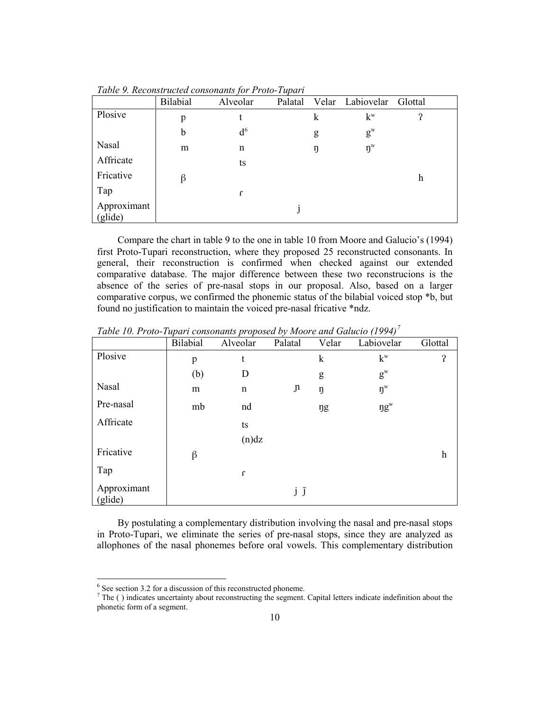|                        | <b>Bilabial</b> | Alveolar       | Palatal |   | Velar Labiovelar Glottal  |                       |
|------------------------|-----------------|----------------|---------|---|---------------------------|-----------------------|
| Plosive                | p               | t              |         | k | $k^w$                     | $\boldsymbol{\Omega}$ |
|                        | b               | d <sup>6</sup> |         | g | $g^w$                     |                       |
| Nasal                  | m               | n              |         | ŋ | $\mathbf{n}^{\mathrm{w}}$ |                       |
| Affricate              |                 | ts             |         |   |                           |                       |
| Fricative              | β               |                |         |   |                           | h                     |
| Tap                    |                 | $\Gamma$       |         |   |                           |                       |
| Approximant<br>(glide) |                 |                |         |   |                           |                       |

*Table 9. Reconstructed consonants for Proto-Tupari*

Compare the chart in table 9 to the one in table 10 from Moore and Galucio's (1994) first Proto-Tupari reconstruction, where they proposed 25 reconstructed consonants. In general, their reconstruction is confirmed when checked against our extended comparative database. The major difference between these two reconstrucions is the absence of the series of pre-nasal stops in our proposal. Also, based on a larger comparative corpus, we confirmed the phonemic status of the bilabial voiced stop \*b, but found no justification to maintain the voiced pre-nasal fricative \*ndz.

|                        | Bilabial | Alveolar | Palatal       | Velar       | Labiovelar       | Glottal                   |
|------------------------|----------|----------|---------------|-------------|------------------|---------------------------|
| Plosive                | p        | t        |               | $\mathbf k$ | $k^w$            | $\boldsymbol{\Omega}$     |
|                        | (b)      | D        |               | g           | $g^w$            |                           |
| Nasal                  | m        | n        | $\mathfrak n$ | ŋ           | $\mathfrak{y}^w$ |                           |
| Pre-nasal              | mb       | nd       |               | ŋg          | $\eta g^w$       |                           |
| Affricate              |          | ts       |               |             |                  |                           |
|                        |          | (n)dz    |               |             |                  |                           |
| Fricative              | β        |          |               |             |                  | $\boldsymbol{\mathrm{h}}$ |
| Tap                    |          | $\Gamma$ |               |             |                  |                           |
| Approximant<br>(glide) |          |          | jĵ            |             |                  |                           |

*Table 10. Proto-Tupari consonants proposed by Moore and Galucio (1994) [7](#page-10-0)*

By postulating a complementary distribution involving the nasal and pre-nasal stops in Proto-Tupari, we eliminate the series of pre-nasal stops, since they are analyzed as allophones of the nasal phonemes before oral vowels. This complementary distribution

<span id="page-10-1"></span> $6$  See section 3.2 for a discussion of this reconstructed phoneme.

<span id="page-10-0"></span> $7$  The ( ) indicates uncertainty about reconstructing the segment. Capital letters indicate indefinition about the phonetic form of a segment.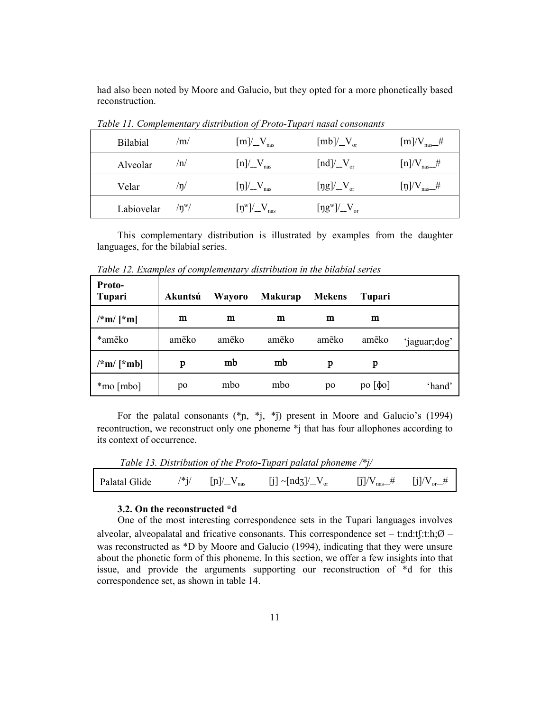had also been noted by Moore and Galucio, but they opted for a more phonetically based reconstruction.

| <b>Bilabial</b> | /m/           | $[m]/V_{\text{max}}$                                                                       | $[mb]/V_{or}$                                                | $[m]$ /V <sub>nas</sub> #    |
|-----------------|---------------|--------------------------------------------------------------------------------------------|--------------------------------------------------------------|------------------------------|
| Alveolar        | /n/           | $[n]/N_{\text{max}}$                                                                       | $\left[\text{nd}\right] / \left[\text{V}_{\text{or}}\right]$ | $[n]/V_{\text{nas}}$ #       |
| Velar           | $/\eta/$      | $[\eta]/V_{\text{nas}}$                                                                    | $[\text{ng}]/V_{\text{or}}$                                  | $[\eta]$ /V <sub>nas</sub> # |
| Labiovelar      | $/n^{\rm w}/$ | $[\mathfrak{y}^{\mathrm{w}}]/{\underline{\hspace{1em}}}V_{\scriptscriptstyle\mathrm{max}}$ | $[{\rm \eta g^w}]/V_{\rm \scriptscriptstyle or}$             |                              |

*Table 11. Complementary distribution of Proto-Tupari nasal consonants* 

This complementary distribution is illustrated by examples from the daughter languages, for the bilabial series.

| <b>Proto-</b><br>Tupari | Akuntsú | <b>Wayoro</b> | <b>Makurap</b> | <b>Mekens</b> | Tupari          |              |
|-------------------------|---------|---------------|----------------|---------------|-----------------|--------------|
| $/*m/[*m]$              | m       | m             | m              | m             | m               |              |
| *ameko                  | ameko   | amẽko         | ameko          | ameko         | ameko           | 'jaguar;dog' |
| $/\n* m/ [\n* mb]$      | p       | mb            | mb             | p             | p               |              |
| *mo [mbo]               | po      | mbo           | mbo            | po            | $po   \phi o  $ | 'hand'       |

*Table 12. Examples of complementary distribution in the bilabial series*

For the palatal consonants  $(*p, *j, *j)$  present in Moore and Galucio's (1994) recontruction, we reconstruct only one phoneme \*j that has four allophones according to its context of occurrence.

*Table 13. Distribution of the Proto-Tupari palatal phoneme /\*j/*

|  |  |  |  | Palatal Glide $\frac{1}{2}$ /*j/ [n]/ $\frac{1}{2}V_{\text{nas}}$ [j] $\frac{1}{2}$ [ndz]/ $\frac{1}{2}V_{\text{or}}$ [j]/ $\frac{1}{2}V_{\text{nas}}$ [j]/ $\frac{1}{2}V_{\text{or}}$ [j]/ $\frac{1}{2}V_{\text{car}}$ |  |  |
|--|--|--|--|-------------------------------------------------------------------------------------------------------------------------------------------------------------------------------------------------------------------------|--|--|
|--|--|--|--|-------------------------------------------------------------------------------------------------------------------------------------------------------------------------------------------------------------------------|--|--|

## **3.2. On the reconstructed \*d**

One of the most interesting correspondence sets in the Tupari languages involves alveolar, alveopalatal and fricative consonants. This correspondence set – t:nd:tf:t:h; $\emptyset$  – was reconstructed as \*D by Moore and Galucio (1994), indicating that they were unsure about the phonetic form of this phoneme. In this section, we offer a few insights into that issue, and provide the arguments supporting our reconstruction of \*d for this correspondence set, as shown in table 14.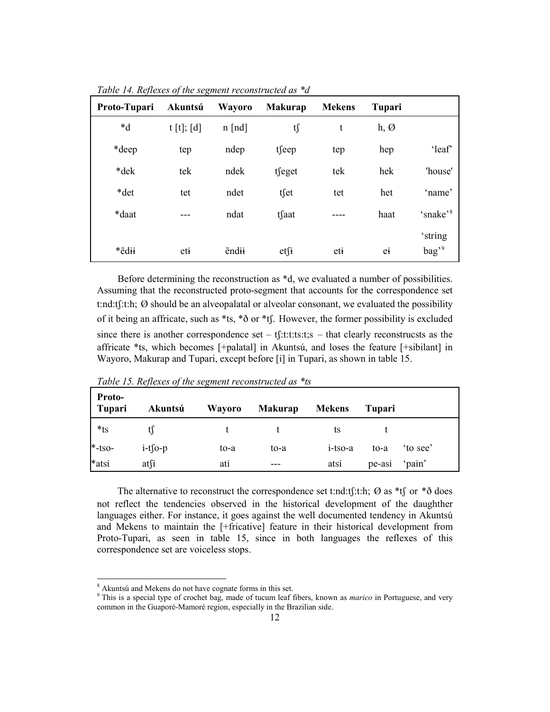| Proto-Tupari   | Akuntsú   | Wayoro       | <b>Makurap</b>    | <b>Mekens</b> | Tupari           |                              |
|----------------|-----------|--------------|-------------------|---------------|------------------|------------------------------|
| $\mathbf{A}^*$ | t[t]; [d] | $n$ [nd]     | tſ                | t             | $h, \varnothing$ |                              |
| *deep          | tep       | ndep         | tseep             | tep           | hep              | 'leaf'                       |
| *dek           | tek       | ndek         | tfeget            | tek           | hek              | 'house'                      |
| *det           | tet       | ndet         | tset              | tet           | het              | 'name'                       |
| *daat          |           | ndat         | tfaat             |               | haat             | 'snake' <sup>8</sup>         |
| *edii          | eti       | <b>endii</b> | $et\int$ <b>i</b> | eti           | ei               | 'string<br>bag' <sup>9</sup> |

*Table 14. Reflexes of the segment reconstructed as \*d*

Before determining the reconstruction as \*d, we evaluated a number of possibilities. Assuming that the reconstructed proto-segment that accounts for the correspondence set t:nd:tf:t:h;  $\emptyset$  should be an alveopalatal or alveolar consonant, we evaluated the possibility of it being an affricate, such as  $*$ ts,  $*\delta$  or  $*$ tf. However, the former possibility is excluded since there is another correspondence set – tf:t:t:t:ts:t;s – that clearly reconstrucsts as the affricate \*ts, which becomes [+palatal] in Akuntsú, and loses the feature [+sibilant] in Wayoro, Makurap and Tupari, except before [i] in Tupari, as shown in table 15.

| Proto-<br><b>Tupari</b> | Akuntsú    | Wayoro | <b>Makurap</b> | <b>Mekens</b> | Tupari |        |
|-------------------------|------------|--------|----------------|---------------|--------|--------|
| $*$ ts                  |            |        |                | ts            |        |        |
| $*$ -tso-               | $i-t$ fo-p | to-a   | to-a           | i-tso-a       | to-a   | to see |
| *atsi                   | atsi       | ati    |                | atsi          | pe-asi | 'pain' |

*Table 15. Reflexes of the segment reconstructed as \*ts*

The alternative to reconstruct the correspondence set t:nd:tf:t:h;  $\varnothing$  as \*tf or \* $\delta$  does not reflect the tendencies observed in the historical development of the daughther languages either. For instance, it goes against the well documented tendency in Akuntsú and Mekens to maintain the [+fricative] feature in their historical development from Proto-Tupari, as seen in table 15, since in both languages the reflexes of this correspondence set are voiceless stops.

<span id="page-12-1"></span> <sup>8</sup> Akuntsú and Mekens do not have cognate forms in this set.

<span id="page-12-0"></span><sup>9</sup> This is a special type of crochet bag, made of tucum leaf fibers, known as *marico* in Portuguese, and very common in the Guaporé-Mamoré region, especially in the Brazilian side.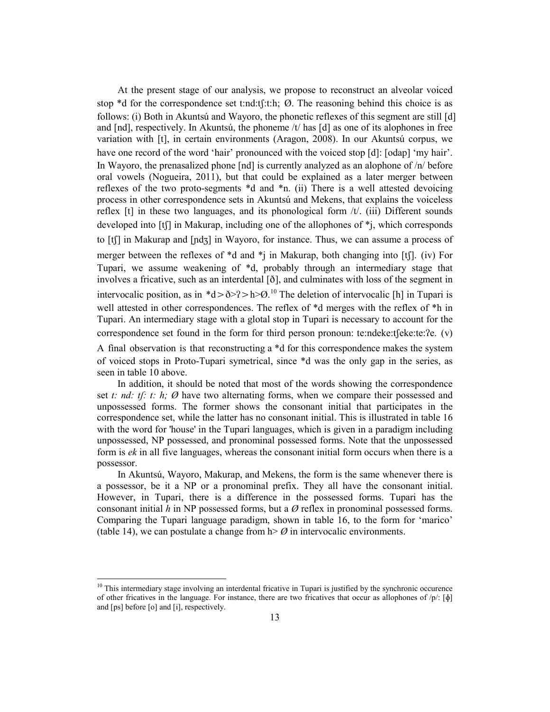At the present stage of our analysis, we propose to reconstruct an alveolar voiced stop \*d for the correspondence set t:nd:tʃ:t:h; Ø. The reasoning behind this choice is as follows: (i) Both in Akuntsú and Wayoro, the phonetic reflexes of this segment are still [d] and [nd], respectively. In Akuntsú, the phoneme  $/t$  has [d] as one of its alophones in free variation with [t], in certain environments (Aragon, 2008). In our Akuntsú corpus, we have one record of the word 'hair' pronounced with the voiced stop [d]: [odap] 'my hair'. In Wayoro, the prenasalized phone [nd] is currently analyzed as an alophone of /n/ before oral vowels (Nogueira, 2011), but that could be explained as a later merger between reflexes of the two proto-segments \*d and \*n. (ii) There is a well attested devoicing process in other correspondence sets in Akuntsú and Mekens, that explains the voiceless reflex  $[t]$  in these two languages, and its phonological form  $/t$ . (iii) Different sounds developed into [tʃ] in Makurap, including one of the allophones of \*j, which corresponds to [tʃ] in Makurap and [ɲdʒ] in Wayoro, for instance. Thus, we can assume a process of merger between the reflexes of  $*d$  and  $*j$  in Makurap, both changing into [tf]. (iv) For Tupari, we assume weakening of \*d, probably through an intermediary stage that involves a fricative, such as an interdental  $[\delta]$ , and culminates with loss of the segment in intervocalic position, as in  $d > \delta > ? > h > \varnothing$ .<sup>[10](#page-12-1)</sup> The deletion of intervocalic [h] in Tupari is well attested in other correspondences. The reflex of \*d merges with the reflex of \*h in Tupari. An intermediary stage with a glotal stop in Tupari is necessary to account for the correspondence set found in the form for third person pronoun: te:ndeke:t $[eke:te:2e. (v)]$ A final observation is that reconstructing a \*d for this correspondence makes the system of voiced stops in Proto-Tupari symetrical, since \*d was the only gap in the series, as seen in table 10 above.

In addition, it should be noted that most of the words showing the correspondence set *t: nd: tʃ: t: h; Ø* have two alternating forms, when we compare their possessed and unpossessed forms. The former shows the consonant initial that participates in the correspondence set, while the latter has no consonant initial. This is illustrated in table 16 with the word for 'house' in the Tupari languages, which is given in a paradigm including unpossessed, NP possessed, and pronominal possessed forms. Note that the unpossessed form is *ek* in all five languages, whereas the consonant initial form occurs when there is a possessor.

In Akuntsú, Wayoro, Makurap, and Mekens, the form is the same whenever there is a possessor, be it a NP or a pronominal prefix. They all have the consonant initial. However, in Tupari, there is a difference in the possessed forms. Tupari has the consonant initial *h* in NP possessed forms, but a *Ø* reflex in pronominal possessed forms. Comparing the Tupari language paradigm, shown in table 16, to the form for 'marico' (table 14), we can postulate a change from  $h > \emptyset$  in intervocalic environments.

<span id="page-13-0"></span><sup>&</sup>lt;sup>10</sup> This intermediary stage involving an interdental fricative in Tupari is justified by the synchronic occurence of other fricatives in the language. For instance, there are two fricatives that occur as allophones of  $/p$ :  $[\phi]$ and [ps] before [o] and [i], respectively.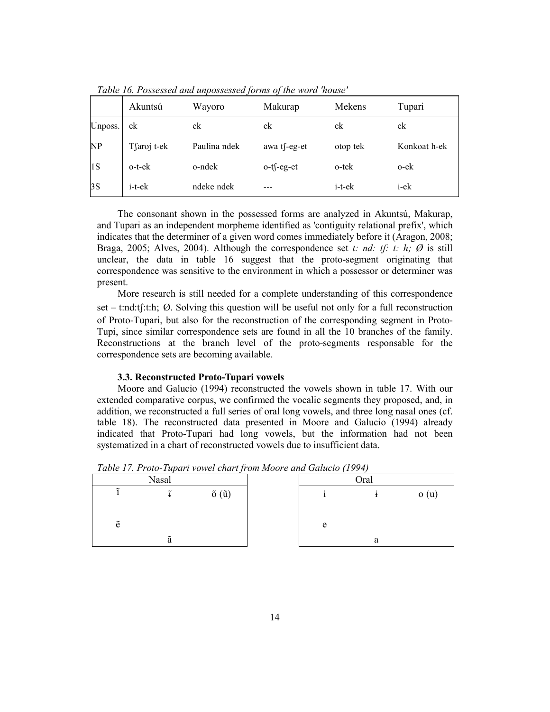|         | Akuntsú      | Wayoro       | Makurap       | Mekens       | Tupari       |
|---------|--------------|--------------|---------------|--------------|--------------|
| Unposs. | ek           | ek           | ek            | ek           | ek           |
| NP      | Tfaroj t-ek  | Paulina ndek | awa t∫-eg-et  | otop tek     | Konkoat h-ek |
| 1S      | o-t-ek       | o-ndek       | $o-t$ f-eg-et | o-tek        | o-ek         |
| 3S      | $i$ -t- $ek$ | ndeke ndek   |               | $i$ -t- $ek$ | i-ek         |

*Table 16. Possessed and unpossessed forms of the word 'house'*

The consonant shown in the possessed forms are analyzed in Akuntsú, Makurap, and Tupari as an independent morpheme identified as 'contiguity relational prefix', which indicates that the determiner of a given word comes immediately before it (Aragon, 2008; Braga, 2005; Alves, 2004). Although the correspondence set *t: nd: tf: t: h;*  $\emptyset$  is still unclear, the data in table 16 suggest that the proto-segment originating that correspondence was sensitive to the environment in which a possessor or determiner was present.

More research is still needed for a complete understanding of this correspondence set – t:nd:t $f$ :t:h;  $\emptyset$ . Solving this question will be useful not only for a full reconstruction of Proto-Tupari, but also for the reconstruction of the corresponding segment in Proto-Tupi, since similar correspondence sets are found in all the 10 branches of the family. Reconstructions at the branch level of the proto-segments responsable for the correspondence sets are becoming available.

#### **3.3. Reconstructed Proto-Tupari vowels**

Moore and Galucio (1994) reconstructed the vowels shown in table 17. With our extended comparative corpus, we confirmed the vocalic segments they proposed, and, in addition, we reconstructed a full series of oral long vowels, and three long nasal ones (cf. table 18). The reconstructed data presented in Moore and Galucio (1994) already indicated that Proto-Tupari had long vowels, but the information had not been systematized in a chart of reconstructed vowels due to insufficient data.

|                    | <b>Nasal</b>               |                        |   | Oral |      |
|--------------------|----------------------------|------------------------|---|------|------|
|                    | $\tilde{\phantom{a}}$      | $\tilde{o}(\tilde{u})$ |   |      | o(u) |
| $\tilde{\text{e}}$ |                            |                        | e |      |      |
|                    | $\tilde{\phantom{a}}$<br>а |                        |   | a    |      |

*Table 17. Proto-Tupari vowel chart from Moore and Galucio (1994)*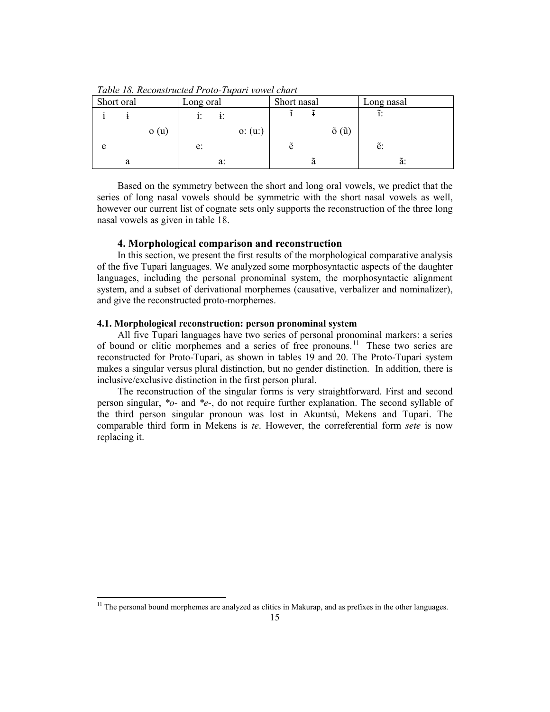*Table 18. Reconstructed Proto-Tupari vowel chart*

| Short oral |   |      | Long oral |    |          | Short nasal |   |                        | Long nasal |  |
|------------|---|------|-----------|----|----------|-------------|---|------------------------|------------|--|
|            |   |      | 1:        |    |          |             |   |                        |            |  |
|            |   | o(u) |           |    | o: (u: ) |             |   | $\tilde{o}(\tilde{u})$ |            |  |
| e          |   |      | e:        |    |          | ẽ           |   |                        | ē:         |  |
|            | а |      |           | a: |          |             | ã |                        | ã:         |  |

Based on the symmetry between the short and long oral vowels, we predict that the series of long nasal vowels should be symmetric with the short nasal vowels as well, however our current list of cognate sets only supports the reconstruction of the three long nasal vowels as given in table 18.

# **4. Morphological comparison and reconstruction**

In this section, we present the first results of the morphological comparative analysis of the five Tupari languages. We analyzed some morphosyntactic aspects of the daughter languages, including the personal pronominal system, the morphosyntactic alignment system, and a subset of derivational morphemes (causative, verbalizer and nominalizer), and give the reconstructed proto-morphemes.

## **4.1. Morphological reconstruction: person pronominal system**

All five Tupari languages have two series of personal pronominal markers: a series of bound or clitic morphemes and a series of free pronouns. [11](#page-13-0) These two series are reconstructed for Proto-Tupari, as shown in tables 19 and 20. The Proto-Tupari system makes a singular versus plural distinction, but no gender distinction. In addition, there is inclusive/exclusive distinction in the first person plural.

The reconstruction of the singular forms is very straightforward. First and second person singular, *\*o-* and *\*e-*, do not require further explanation. The second syllable of the third person singular pronoun was lost in Akuntsú, Mekens and Tupari. The comparable third form in Mekens is *te*. However, the correferential form *sete* is now replacing it.

<span id="page-15-0"></span><sup>&</sup>lt;sup>11</sup> The personal bound morphemes are analyzed as clitics in Makurap, and as prefixes in the other languages.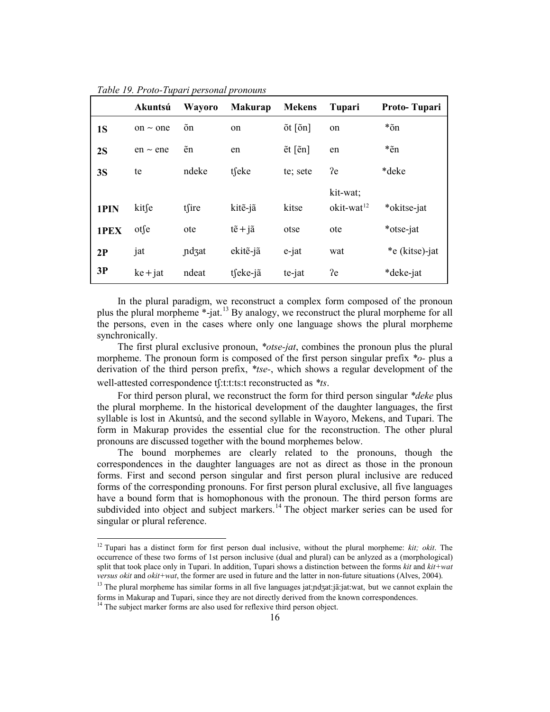|           | Akuntsú       | Wayoro        | <b>Makurap</b>            | <b>Mekens</b>                  | Tupari                             | Proto-Tupari   |
|-----------|---------------|---------------|---------------------------|--------------------------------|------------------------------------|----------------|
| <b>1S</b> | on $\sim$ one | õn            | on                        | $\delta t$ $\delta n$ ]        | on                                 | *õn            |
| 2S        | $en \sim en$  | $\tilde{e}$ n | en                        | $\tilde{e}$ t [ $\tilde{e}$ n] | en                                 | *ẽn            |
| 3S        | te            | ndeke         | tfeke                     | te; sete                       | ?e                                 | *deke          |
| 1PIN      | kitse         | tfire         | kite-jã                   | kitse                          | kit-wat;<br>okit-wat <sup>12</sup> | *okitse-jat    |
| 1PEX      | otse          | ote           | $t\tilde{e} + i\tilde{a}$ | otse                           | ote                                | *otse-jat      |
| 2P        | jat           | ndzat         | ekite-jã                  | $e$ -jat                       | wat                                | *e (kitse)-jat |
| 3P        | $ke + jat$    | ndeat         | tseke-jã                  | te-jat                         | ?e                                 | *deke-jat      |

*Table 19. Proto-Tupari personal pronouns*

In the plural paradigm, we reconstruct a complex form composed of the pronoun plus the plural morpheme \*-jat.[13](#page-16-0) By analogy, we reconstruct the plural morpheme for all the persons, even in the cases where only one language shows the plural morpheme synchronically.

The first plural exclusive pronoun, *\*otse-jat*, combines the pronoun plus the plural morpheme. The pronoun form is composed of the first person singular prefix *\*o-* plus a derivation of the third person prefix, *\*tse-*, which shows a regular development of the well-attested correspondence tʃ:t:t:ts:t reconstructed as *\*ts*.

For third person plural, we reconstruct the form for third person singular *\*deke* plus the plural morpheme. In the historical development of the daughter languages, the first syllable is lost in Akuntsú, and the second syllable in Wayoro, Mekens, and Tupari. The form in Makurap provides the essential clue for the reconstruction. The other plural pronouns are discussed together with the bound morphemes below.

The bound morphemes are clearly related to the pronouns, though the correspondences in the daughter languages are not as direct as those in the pronoun forms. First and second person singular and first person plural inclusive are reduced forms of the corresponding pronouns. For first person plural exclusive, all five languages have a bound form that is homophonous with the pronoun. The third person forms are subdivided into object and subject markers.<sup>[14](#page-16-1)</sup> The object marker series can be used for singular or plural reference.

 <sup>12</sup> Tupari has a distinct form for first person dual inclusive, without the plural morpheme: *kit; okit*. The occurrence of these two forms of 1st person inclusive (dual and plural) can be anlyzed as a (morphological) split that took place only in Tupari. In addition, Tupari shows a distinction between the forms *kit* and *kit+wat versus okit* and *okit+wat*, the former are used in future and the latter in non-future situations (Alves, 2004).

<span id="page-16-2"></span><span id="page-16-0"></span><sup>&</sup>lt;sup>13</sup> The plural morpheme has similar forms in all five languages jat: $\eta$ dzat: $\tilde{\eta}$ :jat:wat, but we cannot explain the forms in Makurap and Tupari, since they are not directly derived from the known correspondences.

<span id="page-16-1"></span><sup>&</sup>lt;sup>14</sup> The subject marker forms are also used for reflexive third person object.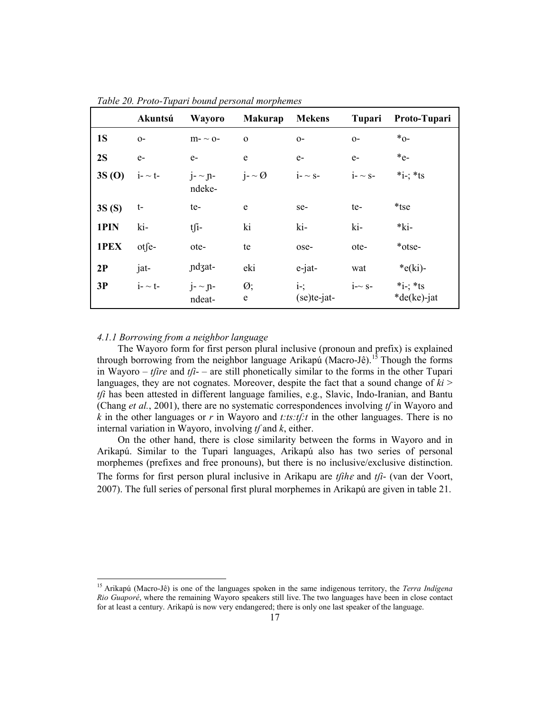|           | Akuntsú         | Wayoro                    | <b>Makurap</b>             | <b>Mekens</b>         | Tupari         | Proto-Tupari                 |
|-----------|-----------------|---------------------------|----------------------------|-----------------------|----------------|------------------------------|
| <b>1S</b> | $O-$            | $m - \sim 0$              | $\mathbf{O}$               | $O-$                  | $O-$           | $*_{0}$ -                    |
| 2S        | $e-$            | $e-$                      | e                          | $e-$                  | $e-$           | $*_{e-}$                     |
| 3S(0)     | $i - t$         | $j - \gamma$ n-<br>ndeke- | $i - \emptyset$            | $i - \sim s -$        | $i - \sim s -$ | *i-; *ts                     |
| 3S(S)     | t-              | te-                       | e                          | se-                   | te-            | *tse                         |
| 1PIN      | ki-             | $t \int_1$                | ki                         | ki-                   | ki-            | $*ki-$                       |
| 1PEX      | otfe-           | ote-                      | te                         | ose-                  | ote-           | *otse-                       |
| 2P        | jat-            | ndzat-                    | eki                        | e-jat-                | wat            | $*$ e(ki)-                   |
| 3P        | $i$ - $\sim$ t- | $j - \gamma$ n-<br>ndeat- | $\emptyset$ ;<br>${\bf e}$ | $i$ -;<br>(se)te-jat- | $i \sim s$ -   | $*_{i}$ ; *ts<br>*de(ke)-jat |

*Table 20. Proto-Tupari bound personal morphemes*

# *4.1.1 Borrowing from a neighbor language*

The Wayoro form for first person plural inclusive (pronoun and prefix) is explained through borrowing from the neighbor language Arikapú (Macro-Jê).<sup>[15](#page-16-2)</sup> Though the forms in Wayoro – *tfire* and *tfi*- – are still phonetically similar to the forms in the other Tupari languages, they are not cognates. Moreover, despite the fact that a sound change of  $ki$  > *tʃi* has been attested in different language families, e.g., Slavic, Indo-Iranian, and Bantu (Chang *et al.*, 2001), there are no systematic correspondences involving *tʃ* in Wayoro and *k* in the other languages or *r* in Wayoro and *t:ts:tʃ:t* in the other languages. There is no internal variation in Wayoro, involving *tʃ* and *k*, either.

On the other hand, there is close similarity between the forms in Wayoro and in Arikapú. Similar to the Tupari languages, Arikapú also has two series of personal morphemes (prefixes and free pronouns), but there is no inclusive/exclusive distinction. The forms for first person plural inclusive in Arikapu are  $t / \hat{t}$  and  $t / \hat{t}$ - (van der Voort, 2007). The full series of personal first plural morphemes in Arikapú are given in table 21.

<span id="page-17-0"></span> 15 Arikapú (Macro-Jê) is one of the languages spoken in the same indigenous territory, the *Terra Indígena Rio Guaporé*, where the remaining Wayoro speakers still live. The two languages have been in close contact for at least a century. Arikapú is now very endangered; there is only one last speaker of the language.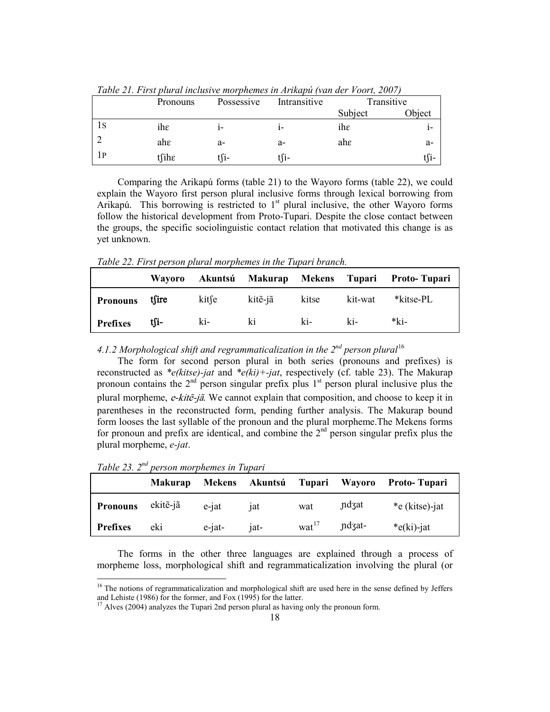|    | Pronouns | Possessive | Intransitive | Transitive |        |
|----|----------|------------|--------------|------------|--------|
|    |          |            |              | Subject    | Object |
| 1S | ihe      |            | ı-           | ihe        | 1-     |
|    | ahe      | a-         | a-           | ahε        | a-     |
| 1P | $t$ fihe | tſi-       | tſi-         |            | t∫i-   |

*Table 21. First plural inclusive morphemes in Arikapú (van der Voort, 2007)*

Comparing the Arikapú forms (table 21) to the Wayoro forms (table 22), we could explain the Wayoro first person plural inclusive forms through lexical borrowing from Arikapú. This borrowing is restricted to 1<sup>st</sup> plural inclusive, the other Wayoro forms follow the historical development from Proto-Tupari. Despite the close contact between the groups, the specific sociolinguistic contact relation that motivated this change is as yet unknown.

*Table 22. First person plural morphemes in the Tupari branch.* 

|                 | <b>Wavoro</b> |       |         |       |         | Akuntsú Makurap Mekens Tupari Proto-Tupari |
|-----------------|---------------|-------|---------|-------|---------|--------------------------------------------|
| Pronouns tsire  |               | kitse | kitẽ-jã | kitse | kit-wat | *kitse-PL                                  |
| <b>Prefixes</b> | tſi-          | ki-   | ki      | ki-   | ki-     | *ki-                                       |

*4.1.2 Morphological shift and regrammaticalization in the 2nd person plural*[16](#page-17-0)

The form for second person plural in both series (pronouns and prefixes) is reconstructed as *\*e(kitse)-jat* and *\*e(ki)+-jat*, respectively (cf. table 23). The Makurap pronoun contains the  $2<sup>nd</sup>$  person singular prefix plus  $1<sup>st</sup>$  person plural inclusive plus the plural morpheme, e-kitẽ-jã. We cannot explain that composition, and choose to keep it in parentheses in the reconstructed form, pending further analysis. The Makurap bound form looses the last syllable of the pronoun and the plural morpheme.The Mekens forms for pronoun and prefix are identical, and combine the  $2<sup>nd</sup>$  person singular prefix plus the plural morpheme, *e-jat*.

| Table 23. 2 <sup>nd</sup> person morphemes in Tupari |  |  |  |  |
|------------------------------------------------------|--|--|--|--|
|------------------------------------------------------|--|--|--|--|

|                 | <b>Makurap</b> | Mekens    | Akuntsú         | Tupari            | Wayoro | <b>Proto-Tupari</b> |
|-----------------|----------------|-----------|-----------------|-------------------|--------|---------------------|
| <b>Pronouns</b> | ekite-jã       | e-jat     | ıat             | wat               | ndzat  | *e (kitse)-jat      |
| <b>Prefixes</b> | eki            | $e$ -jat- | 1a <sup>t</sup> | $\text{wat}^{17}$ | ndzat- | * $e(ki)$ -jat      |

<span id="page-18-1"></span>The forms in the other three languages are explained through a process of morpheme loss, morphological shift and regrammaticalization involving the plural (or

<sup>&</sup>lt;sup>16</sup> The notions of regrammaticalization and morphological shift are used here in the sense defined by Jeffers and Lehiste (1986) for the former, and Fox (1995) for the latter.

<span id="page-18-0"></span><sup>&</sup>lt;sup>17</sup> Alves (2004) analyzes the Tupari 2nd person plural as having only the pronoun form.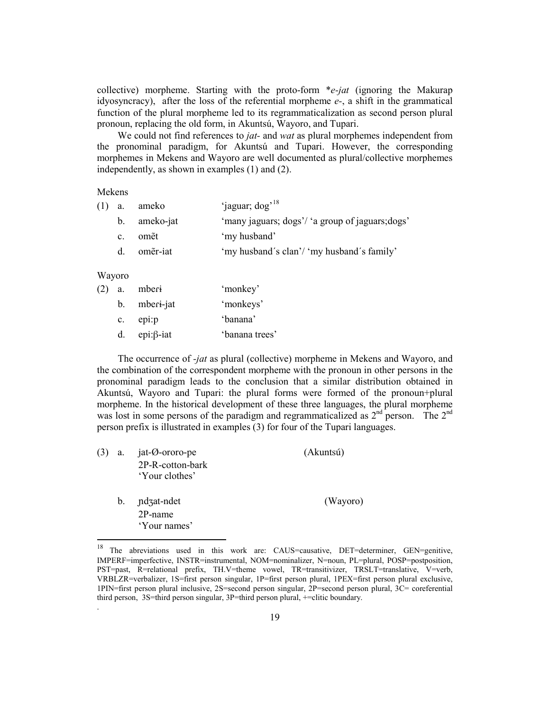collective) morpheme. Starting with the proto-form \**e-jat* (ignoring the Makurap idyosyncracy), after the loss of the referential morpheme *e-*, a shift in the grammatical function of the plural morpheme led to its regrammaticalization as second person plural pronoun, replacing the old form, in Akuntsú, Wayoro, and Tupari.

We could not find references to *jat-* and *wat* as plural morphemes independent from the pronominal paradigm, for Akuntsú and Tupari. However, the corresponding morphemes in Mekens and Wayoro are well documented as plural/collective morphemes independently, as shown in examples (1) and (2).

#### Mekens

| $(1)$ a.    | ameko        | 'jaguar; dog' <sup>18</sup>                      |
|-------------|--------------|--------------------------------------------------|
|             | b. ameko-jat | 'many jaguars; dogs'/ 'a group of jaguars; dogs' |
| $c_{\cdot}$ | omět         | 'my husband'                                     |
| $d_{\cdot}$ | omẽr-iat     | 'my husband's clan'/ 'my husband's family'       |
|             |              |                                                  |

#### Wayoro

<span id="page-19-0"></span>.

| (2) | a.          | mberi             | 'monkey'       |
|-----|-------------|-------------------|----------------|
|     |             | b. mberi-jat      | 'monkeys'      |
|     | $c_{\cdot}$ | epi:p             | 'banana'       |
|     | d.          | epi: $\beta$ -iat | 'banana trees' |

The occurrence of *-jat* as plural (collective) morpheme in Mekens and Wayoro, and the combination of the correspondent morpheme with the pronoun in other persons in the pronominal paradigm leads to the conclusion that a similar distribution obtained in Akuntsú, Wayoro and Tupari: the plural forms were formed of the pronoun+plural morpheme. In the historical development of these three languages, the plural morpheme was lost in some persons of the paradigm and regrammaticalized as  $2<sup>nd</sup>$  person. The  $2<sup>nd</sup>$ person prefix is illustrated in examples (3) for four of the Tupari languages.

| (3) | a.      | jat-Ø-ororo-pe   | (Akuntsú) |
|-----|---------|------------------|-----------|
|     |         | 2P-R-cotton-bark |           |
|     |         | 'Your clothes'   |           |
|     | $b_{-}$ | ndzat-ndet       | (Wayoro)  |
|     |         | $2P$ -name       |           |
|     |         | 'Your names'     |           |

<sup>&</sup>lt;sup>18</sup> The abreviations used in this work are: CAUS=causative, DET=determiner, GEN=genitive, IMPERF=imperfective, INSTR=instrumental, NOM=nominalizer, N=noun, PL=plural, POSP=postposition, PST=past, R=relational prefix, TH.V=theme vowel, TR=transitivizer, TRSLT=translative, V=verb, VRBLZR=verbalizer, 1S=first person singular, 1P=first person plural, 1PEX=first person plural exclusive, 1PIN=first person plural inclusive, 2S=second person singular, 2P=second person plural, 3C= coreferential third person, 3S=third person singular, 3P=third person plural, +=clitic boundary.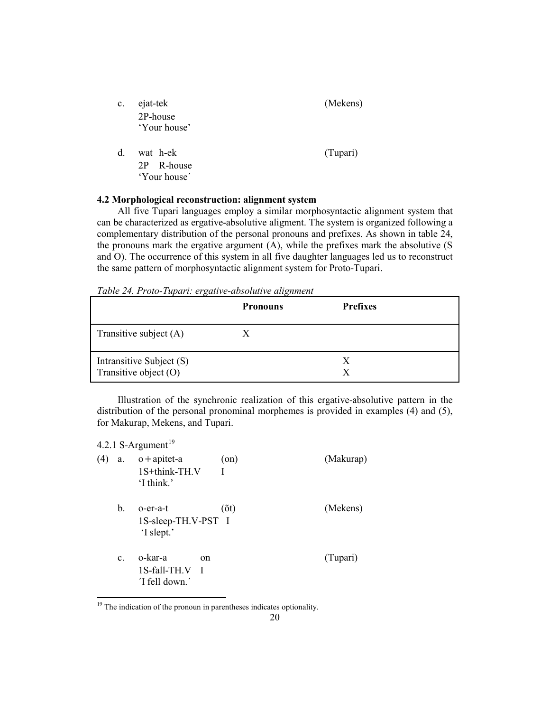| c.          | ejat-tek<br>2P-house<br>'Your house'   | (Mekens) |
|-------------|----------------------------------------|----------|
| $d_{\cdot}$ | wat h-ek<br>2P R-house<br>'Your house' | (Tupari) |

## **4.2 Morphological reconstruction: alignment system**

All five Tupari languages employ a similar morphosyntactic alignment system that can be characterized as ergative-absolutive aligment. The system is organized following a complementary distribution of the personal pronouns and prefixes. As shown in table 24, the pronouns mark the ergative argument (A), while the prefixes mark the absolutive (S and O). The occurrence of this system in all five daughter languages led us to reconstruct the same pattern of morphosyntactic alignment system for Proto-Tupari.

*Table 24. Proto-Tupari: ergative-absolutive alignment*

|                                                   | <b>Pronouns</b> | <b>Prefixes</b> |
|---------------------------------------------------|-----------------|-----------------|
| Transitive subject $(A)$                          | X               |                 |
| Intransitive Subject (S)<br>Transitive object (O) |                 | X<br>Y          |

Illustration of the synchronic realization of this ergative-absolutive pattern in the distribution of the personal pronominal morphemes is provided in examples (4) and (5), for Makurap, Mekens, and Tupari.

4.2.1 S-Argument $19$ (4) a. o+apitet-a (on) (Makurap) 1S+think-TH.V I 'I think' b. o-er-a-t (õt) (Mekens) 1S-sleep-TH.V-PST I 'I slept.' c. o-kar-a on (Tupari) 1S-fall-TH.V I ´I fell down.´

<span id="page-20-0"></span><sup>&</sup>lt;sup>19</sup> The indication of the pronoun in parentheses indicates optionality.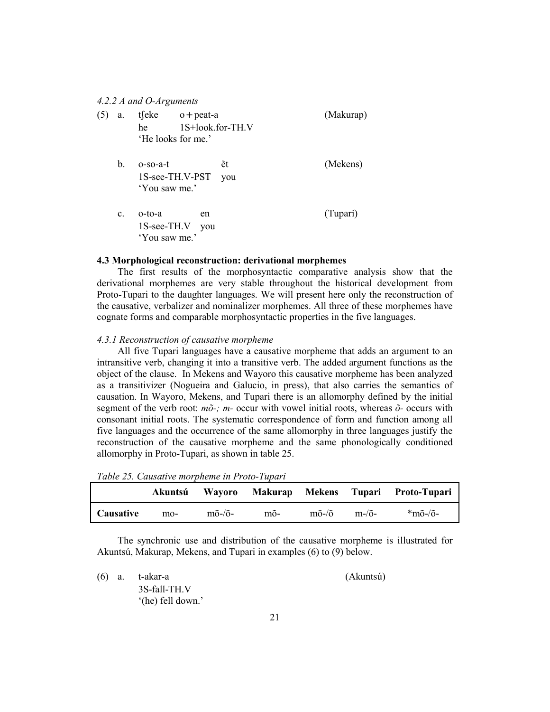#### *4.2.2 A and O-Arguments*

| (5) | a.          | tfeke              | $o +$ peat-a     | (Makurap) |
|-----|-------------|--------------------|------------------|-----------|
|     |             | he                 | 1S+look.for-TH.V |           |
|     |             | 'He looks for me.' |                  |           |
|     | b.          | $o-so-a-t$         | ět               | (Mekens)  |
|     |             | 1S-see-TH.V-PST    | you              |           |
|     |             | 'You saw me.'      |                  |           |
|     | $c_{\cdot}$ | o-to-a             | en               | (Tupari)  |
|     |             | 1S-see-TH.V you    |                  |           |
|     |             | 'You saw me.'      |                  |           |

#### **4.3 Morphological reconstruction: derivational morphemes**

The first results of the morphosyntactic comparative analysis show that the derivational morphemes are very stable throughout the historical development from Proto-Tupari to the daughter languages. We will present here only the reconstruction of the causative, verbalizer and nominalizer morphemes. All three of these morphemes have cognate forms and comparable morphosyntactic properties in the five languages.

#### *4.3.1 Reconstruction of causative morpheme*

All five Tupari languages have a causative morpheme that adds an argument to an intransitive verb, changing it into a transitive verb. The added argument functions as the object of the clause. In Mekens and Wayoro this causative morpheme has been analyzed as a transitivizer (Nogueira and Galucio, in press), that also carries the semantics of causation. In Wayoro, Mekens, and Tupari there is an allomorphy defined by the initial segment of the verb root: *mõ-; m-* occur with vowel initial roots, whereas *õ-* occurs with consonant initial roots. The systematic correspondence of form and function among all five languages and the occurrence of the same allomorphy in three languages justify the reconstruction of the causative morpheme and the same phonologically conditioned allomorphy in Proto-Tupari, as shown in table 25.

*Table 25. Causative morpheme in Proto-Tupari*

|           | Akuntsú | <b>Wavoro</b>                 |     |                             |              | Makurap Mekens Tupari Proto-Tupari |
|-----------|---------|-------------------------------|-----|-----------------------------|--------------|------------------------------------|
| Causative | $mo-$   | $m\tilde{o}$ -/ $\tilde{o}$ - | mõ- | $m\tilde{o}$ -/ $\tilde{o}$ | $m-\delta$ - | *mõ-/õ-                            |

The synchronic use and distribution of the causative morpheme is illustrated for Akuntsú, Makurap, Mekens, and Tupari in examples (6) to (9) below.

|  | $(6)$ a. t-akar-a | (Akuntsú) |
|--|-------------------|-----------|
|  | 3S-fall-TH.V      |           |
|  | '(he) fell down.' |           |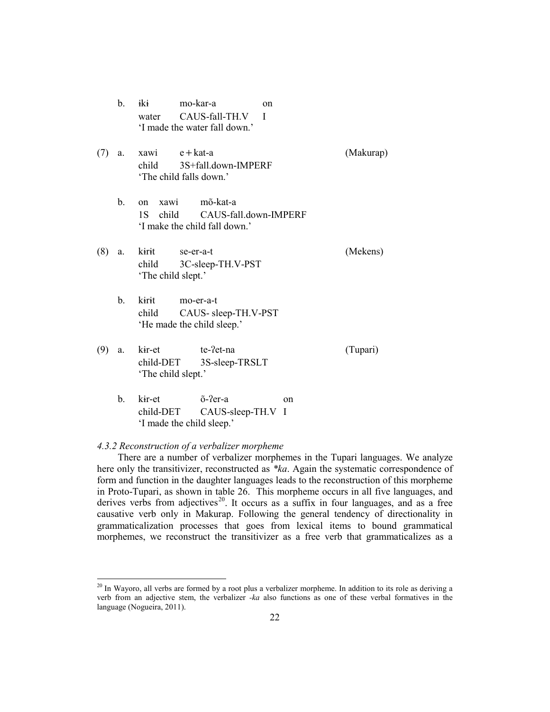b. ɨkɨ mo-kar-a on water CAUS-fall-TH.V I 'I made the water fall down.'

- (7) a. xawi e+kat-a (Makurap) child 3S+fall.down-IMPERF 'The child falls down.'
	- b. on xawi mõ-kat-a 1S child CAUS-fall.down-IMPERF 'I make the child fall down.'
- (8) a. kɨrɨt se-er-a-t (Mekens) child 3C-sleep-TH.V-PST 'The child slept.'
	- b. kɨrɨt mo-er-a-t child CAUS- sleep-TH.V-PST 'He made the child sleep.'
- (9) a. kir-et te-?et-na (Tupari) child-DET 3S-sleep-TRSLT 'The child slept.'
	- b. kɨr-et õ-ʔer-a on child-DET CAUS-sleep-TH.V I 'I made the child sleep.'

#### *4.3.2 Reconstruction of a verbalizer morpheme*

There are a number of verbalizer morphemes in the Tupari languages. We analyze here only the transitivizer, reconstructed as *\*ka*. Again the systematic correspondence of form and function in the daughter languages leads to the reconstruction of this morpheme in Proto-Tupari, as shown in table 26. This morpheme occurs in all five languages, and derives verbs from adjectives<sup>[20](#page-20-0)</sup>. It occurs as a suffix in four languages, and as a free causative verb only in Makurap. Following the general tendency of directionality in grammaticalization processes that goes from lexical items to bound grammatical morphemes, we reconstruct the transitivizer as a free verb that grammaticalizes as a

<span id="page-22-0"></span><sup>&</sup>lt;sup>20</sup> In Wayoro, all verbs are formed by a root plus a verbalizer morpheme. In addition to its role as deriving a verb from an adjective stem, the verbalizer *-ka* also functions as one of these verbal formatives in the language (Nogueira, 2011).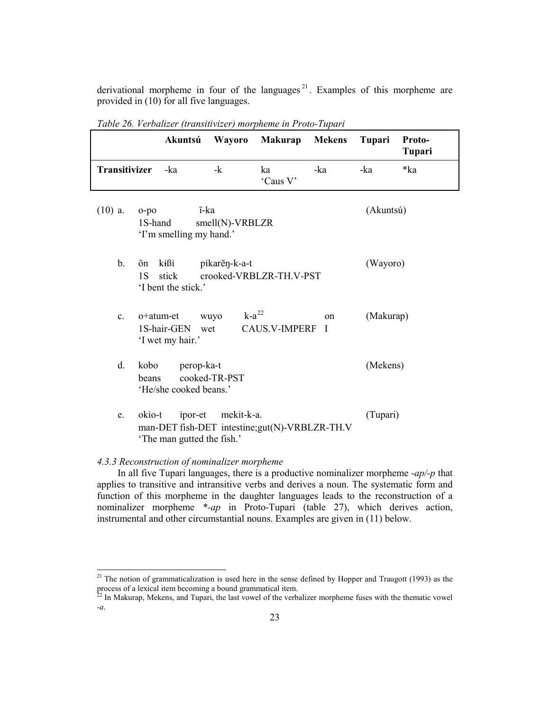derivational morpheme in four of the languages<sup>[21](#page-22-0)</sup>. Examples of this morpheme are provided in (10) for all five languages.

|                | Akuntsú                                                                                           | Wayoro                     | <b>Makurap</b>          | <b>Mekens</b>     | <b>Tupari</b> | Proto-<br>Tupari |
|----------------|---------------------------------------------------------------------------------------------------|----------------------------|-------------------------|-------------------|---------------|------------------|
| Transitivizer  | -ka                                                                                               | $-k$                       | ka<br>'Caus V'          | -ka               | -ka           | *ka              |
| $(10)$ a.      | $o-po$<br>1S-hand<br>'I'm smelling my hand.'                                                      | ĩ-ka<br>$smell(N)$ -VRBLZR |                         |                   | (Akuntsú)     |                  |
| $\mathbf{b}$ . | kißi<br>õn<br>1S<br>stick<br>'I bent the stick.'                                                  | pikareņ-k-a-t              | crooked-VRBLZR-TH.V-PST |                   | (Wayoro)      |                  |
| $\mathbf{c}$ . | o+atum-et<br>1S-hair-GEN<br>'I wet my hair.'                                                      | $k-a^{22}$<br>wuyo<br>wet  | <b>CAUS.V-IMPERF</b>    | on<br>$\mathbf I$ | (Makurap)     |                  |
| d.             | kobo<br>perop-ka-t<br>beans<br>'He/she cooked beans.'                                             | cooked-TR-PST              |                         |                   | (Mekens)      |                  |
| e.             | okio-t<br>ipor-et<br>man-DET fish-DET intestine; gut(N)-VRBLZR-TH.V<br>'The man gutted the fish.' | mekit-k-a.                 |                         |                   | (Tupari)      |                  |

*Table 26. Verbalizer (transitivizer) morpheme in Proto-Tupari*

# *4.3.3 Reconstruction of nominalizer morpheme*

In all five Tupari languages, there is a productive nominalizer morpheme *-ap/-p* that applies to transitive and intransitive verbs and derives a noun. The systematic form and function of this morpheme in the daughter languages leads to the reconstruction of a nominalizer morpheme *\*-ap* in Proto-Tupari (table 27), which derives action, instrumental and other circumstantial nouns. Examples are given in (11) below.

<sup>&</sup>lt;sup>21</sup> The notion of grammaticalization is used here in the sense defined by Hopper and Traugott (1993) as the process of a lexical item becoming a bound grammatical item.

<span id="page-23-0"></span> $22$  In Makurap, Mekens, and Tupari, the last vowel of the verbalizer morpheme fuses with the thematic vowel *-a*.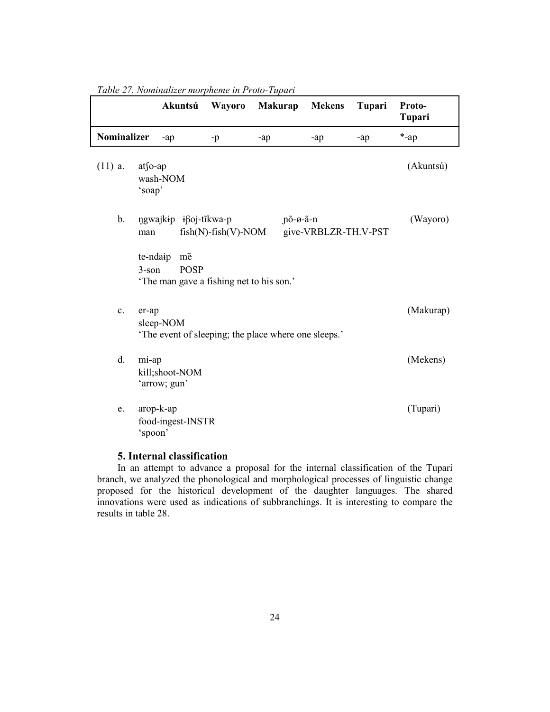|                    |                             | Akuntsú                                    | <b>Wayoro</b>                                                          | <b>Makurap</b>                                       | <b>Mekens</b>        | <b>Tupari</b> | Proto-<br>Tupari |
|--------------------|-----------------------------|--------------------------------------------|------------------------------------------------------------------------|------------------------------------------------------|----------------------|---------------|------------------|
| <b>Nominalizer</b> |                             | -ap                                        | $-p$                                                                   | $-ap$                                                | $-ap$                | -ap           | $*$ -ap          |
| $(11)$ a.          | $at$ [0-ap<br>'soap'        | wash-NOM                                   |                                                                        |                                                      |                      |               | (Akuntsú)        |
| b.                 | man<br>te-ndaip<br>$3$ -son | ngwajkip iβoj-tĩkwa-p<br>mẽ<br><b>POSP</b> | $fish(N)$ -fish $(V)$ -NOM<br>'The man gave a fishing net to his son.' | $p\tilde{o}-\varnothing-\tilde{a}-n$                 | give-VRBLZR-TH.V-PST |               | (Wayoro)         |
| c.                 | er-ap                       | sleep-NOM                                  |                                                                        | 'The event of sleeping; the place where one sleeps.' |                      |               | (Makurap)        |
| d.                 | mi-ap                       | kill;shoot-NOM<br>'arrow; gun'             |                                                                        |                                                      |                      |               | (Mekens)         |
| e.                 | 'spoon'                     | arop-k-ap<br>food-ingest-INSTR             |                                                                        |                                                      |                      |               | (Tupari)         |

*Table 27. Nominalizer morpheme in Proto-Tupari*

# **5. Internal classification**

In an attempt to advance a proposal for the internal classification of the Tupari branch, we analyzed the phonological and morphological processes of linguistic change proposed for the historical development of the daughter languages. The shared innovations were used as indications of subbranchings. It is interesting to compare the results in table 28.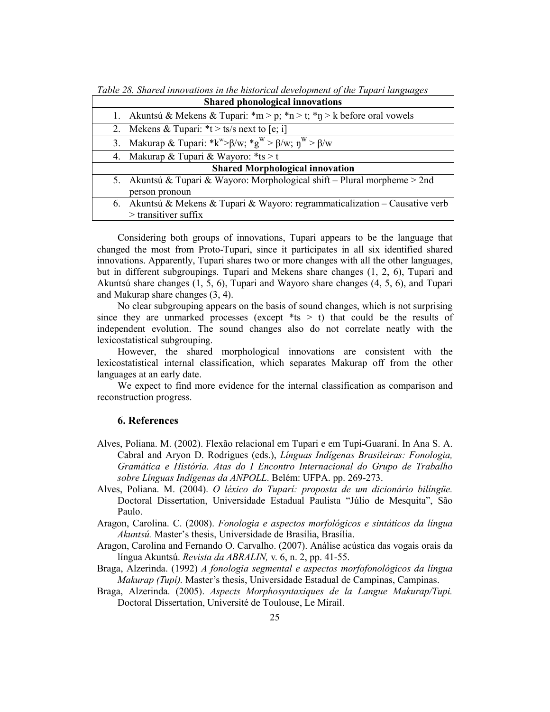*Table 28. Shared innovations in the historical development of the Tupari languages*

| <b>Shared phonological innovations</b>                                                         |
|------------------------------------------------------------------------------------------------|
| 1. Akuntsú & Mekens & Tupari: *m > p; *n > t; *n > k before oral vowels                        |
| 2. Mekens & Tupari: $*t > ts/s$ next to [e; i]                                                 |
| 3. Makurap & Tupari: *k*> $\beta/w$ ; *g <sup>w</sup> > $\beta/w$ ; n <sup>w</sup> > $\beta/w$ |
| 4. Makurap & Tupari & Wayoro: $*ts > t$                                                        |
| <b>Shared Morphological innovation</b>                                                         |
| 5. Akuntsú & Tupari & Wayoro: Morphological shift – Plural morpheme $>$ 2nd                    |
| person pronoun                                                                                 |
| 6. Akuntsú & Mekens & Tupari & Wayoro: regrammaticalization – Causative verb                   |
| $>$ transitiver suffix                                                                         |

Considering both groups of innovations, Tupari appears to be the language that changed the most from Proto-Tupari, since it participates in all six identified shared innovations. Apparently, Tupari shares two or more changes with all the other languages, but in different subgroupings. Tupari and Mekens share changes (1, 2, 6), Tupari and Akuntsú share changes (1, 5, 6), Tupari and Wayoro share changes (4, 5, 6), and Tupari and Makurap share changes (3, 4).

No clear subgrouping appears on the basis of sound changes, which is not surprising since they are unmarked processes (except  $*ts > t$ ) that could be the results of independent evolution. The sound changes also do not correlate neatly with the lexicostatistical subgrouping.

However, the shared morphological innovations are consistent with the lexicostatistical internal classification, which separates Makurap off from the other languages at an early date.

We expect to find more evidence for the internal classification as comparison and reconstruction progress.

# **6. References**

- Alves, Poliana. M. (2002). Flexão relacional em Tupari e em Tupi-Guaraní. In Ana S. A. Cabral and Aryon D. Rodrigues (eds.), *Línguas Indígenas Brasileiras: Fonologia, Gramática e História. Atas do I Encontro Internacional do Grupo de Trabalho sobre Línguas Indígenas da ANPOLL*. Belém: UFPA. pp. 269-273.
- Alves, Poliana. M. (2004). *O léxico do Tuparí: proposta de um dicionário bilíngüe.* Doctoral Dissertation, Universidade Estadual Paulista "Júlio de Mesquita", São Paulo.
- Aragon, Carolina. C. (2008). *Fonologia e aspectos morfológicos e sintáticos da língua Akuntsú.* Master's thesis, Universidade de Brasília, Brasília.
- Aragon, Carolina and Fernando O. Carvalho. (2007). Análise acústica das vogais orais da língua Akuntsú. *Revista da ABRALIN,* v. 6, n. 2, pp. 41-55.
- Braga, Alzerinda. (1992) *A fonologia segmental e aspectos morfofonológicos da língua Makurap (Tupí).* Master's thesis, Universidade Estadual de Campinas, Campinas.
- Braga, Alzerinda. (2005). *Aspects Morphosyntaxiques de la Langue Makurap/Tupi.* Doctoral Dissertation, Université de Toulouse, Le Mirail.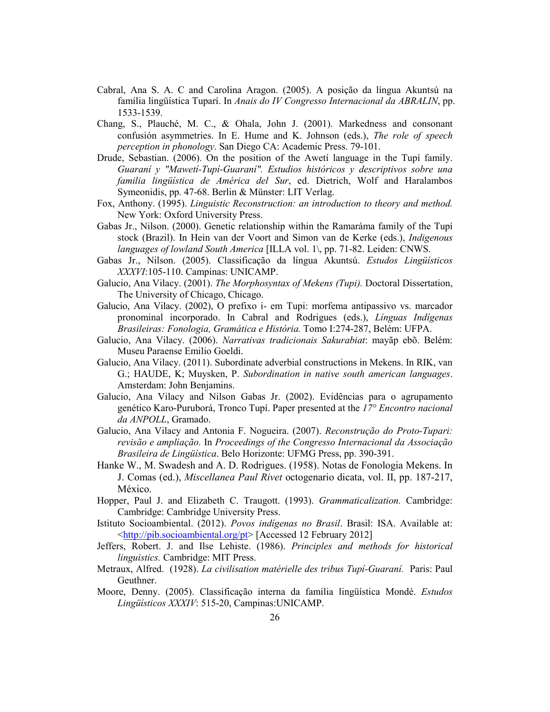- Cabral, Ana S. A. C and Carolina Aragon. (2005). A posição da língua Akuntsú na família lingüística Tuparí. In *Anais do IV Congresso Internacional da ABRALIN*, pp. 1533-1539.
- Chang, S., Plauché, M. C., & Ohala, John J. (2001). Markedness and consonant confusión asymmetries. In E. Hume and K. Johnson (eds.), *The role of speech perception in phonology*. San Diego CA: Academic Press. 79-101.
- Drude, Sebastian. (2006). On the position of the Awetí language in the Tupí family. *Guaraní y "Mawetí-Tupí-Guaraní". Estudios históricos y descriptivos sobre una familia lingüística de América del Sur*, ed. Dietrich, Wolf and Haralambos Symeonidis, pp. 47-68. Berlin & Münster: LIT Verlag.
- Fox, Anthony. (1995). *Linguistic Reconstruction: an introduction to theory and method.* New York: Oxford University Press.
- Gabas Jr., Nilson. (2000). Genetic relationship within the Ramaráma family of the Tupí stock (Brazil). In Hein van der Voort and Simon van de Kerke (eds.), *Indigenous languages of lowland South America* [ILLA vol. 1\, pp. 71-82. Leiden: CNWS.
- Gabas Jr., Nilson. (2005). Classificação da língua Akuntsú. *Estudos Lingüísticos XXXVI*:105-110. Campinas: UNICAMP.
- Galucio, Ana Vilacy. (2001). *The Morphosyntax of Mekens (Tupi).* Doctoral Dissertation, The University of Chicago, Chicago.
- Galucio, Ana Vilacy. (2002), O prefixo i- em Tupi: morfema antipassivo vs. marcador pronominal incorporado. In Cabral and Rodrigues (eds.), *Línguas Indígenas Brasileiras: Fonologia, Gramática e História.* Tomo I:274-287, Belém: UFPA.
- Galucio, Ana Vilacy. (2006). *Narrativas tradicionais Sakurabiat*: mayãp ebõ. Belém: Museu Paraense Emilio Goeldi.
- Galucio, Ana Vilacy. (2011). Subordinate adverbial constructions in Mekens. In RIK, van G.; HAUDE, K; Muysken, P. *Subordination in native south american languages*. Amsterdam: John Benjamins.
- Galucio, Ana Vilacy and Nilson Gabas Jr. (2002). Evidências para o agrupamento genético Karo-Puruborá, Tronco Tupí. Paper presented at the *17° Encontro nacional da ANPOLL*, Gramado.
- Galucio, Ana Vilacy and Antonia F. Nogueira. (2007). *Reconstrução do Proto-Tupari: revisão e ampliação.* In *Proceedings of the Congresso Internacional da Associação Brasileira de Lingüística*. Belo Horizonte: UFMG Press, pp. 390-391.
- Hanke W., M. Swadesh and A. D. Rodrigues. (1958). Notas de Fonologia Mekens. In J. Comas (ed.), *Miscellanea Paul Rivet* octogenario dicata, vol. II, pp. 187-217, México.
- Hopper, Paul J. and Elizabeth C. Traugott. (1993). *Grammaticalization.* Cambridge: Cambridge: Cambridge University Press.
- Istituto Socioambiental. (2012). *Povos indígenas no Brasil*. Brasil: ISA. Available at: [<http://pib.socioambiental.org/pt>](http://pib.socioambiental.org/pt) [Accessed 12 February 2012]
- Jeffers, Robert. J. and Ilse Lehiste. (1986). *Principles and methods for historical linguistics.* Cambridge: MIT Press.
- Metraux, Alfred. (1928). *La civilisation matérielle des tribus Tupí-Guaraní.* Paris: Paul Geuthner.
- Moore, Denny. (2005). Classificação interna da família lingüística Mondé. *Estudos Lingüísticos XXXIV*: 515-20, Campinas:UNICAMP.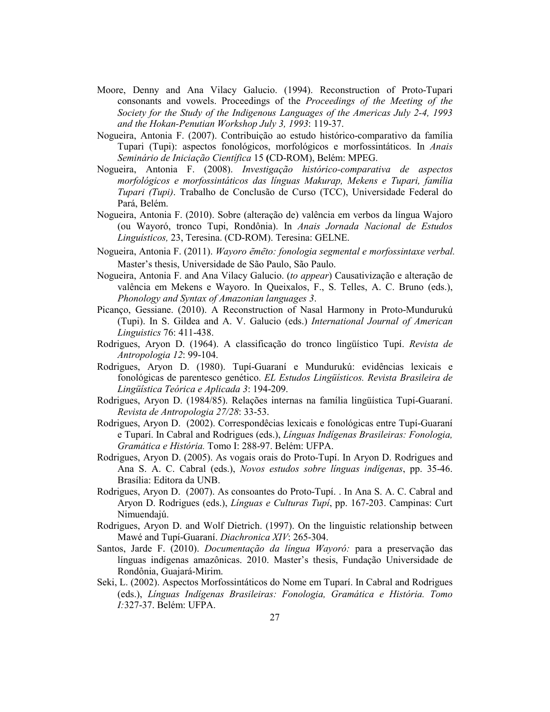- Moore, Denny and Ana Vilacy Galucio. (1994). Reconstruction of Proto-Tupari consonants and vowels. Proceedings of the *Proceedings of the Meeting of the Society for the Study of the Indigenous Languages of the Americas July 2-4, 1993 and the Hokan-Penutian Workshop July 3, 1993*: 119-37.
- Nogueira, Antonia F. (2007). Contribuição ao estudo histórico-comparativo da família Tupari (Tupi): aspectos fonológicos, morfológicos e morfossintáticos. In *Anais Seminário de Iniciação Científica* 15 **(**CD-ROM), Belém: MPEG.
- Nogueira, Antonia F. (2008). *Investigação histórico-comparativa de aspectos morfológicos e morfossintáticos das línguas Makurap, Mekens e Tupari, família Tupari (Tupi)*. Trabalho de Conclusão de Curso (TCC), Universidade Federal do Pará, Belém.
- Nogueira, Antonia F. (2010). Sobre (alteração de) valência em verbos da língua Wajoro (ou Wayoró, tronco Tupi, Rondônia). In *Anais Jornada Nacional de Estudos Linguísticos,* 23, Teresina. (CD-ROM). Teresina: GELNE.
- Nogueira, Antonia F. (2011). *Wayoro e*̃*me*̃*to: fonologia segmental e morfossintaxe verbal.* Master's thesis, Universidade de São Paulo, São Paulo.
- Nogueira, Antonia F. and Ana Vilacy Galucio. (*to appear*) Causativização e alteração de valência em Mekens e Wayoro. In Queixalos, F., S. Telles, A. C. Bruno (eds.), *Phonology and Syntax of Amazonian languages 3*.
- Picanço, Gessiane. (2010). A Reconstruction of Nasal Harmony in Proto-Mundurukú (Tupi). In S. Gildea and A. V. Galucio (eds.) *International Journal of American Linguistics* 76: 411-438.
- Rodrigues, Aryon D. (1964). A classificação do tronco lingüístico Tupí. *Revista de Antropologia 12*: 99-104.
- Rodrigues, Aryon D. (1980). Tupí-Guaraní e Mundurukú: evidências lexicais e fonológicas de parentesco genético. *EL Estudos Lingüísticos. Revista Brasileira de Lingüística Teórica e Aplicada 3*: 194-209.
- Rodrigues, Aryon D. (1984/85). Relações internas na família lingüística Tupí-Guaraní. *Revista de Antropologia 27/28*: 33-53.
- Rodrigues, Aryon D. (2002). Correspondêcias lexicais e fonológicas entre Tupí-Guaraní e Tuparí. In Cabral and Rodrigues (eds.), *Línguas Indígenas Brasileiras: Fonologia, Gramática e História.* Tomo I: 288-97. Belém: UFPA.
- Rodrigues, Aryon D. (2005). As vogais orais do Proto-Tupí. In Aryon D. Rodrigues and Ana S. A. C. Cabral (eds.), *Novos estudos sobre línguas indígenas*, pp. 35-46. Brasília: Editora da UNB.
- Rodrigues, Aryon D. (2007). As consoantes do Proto-Tupí. . In Ana S. A. C. Cabral and Aryon D. Rodrigues (eds.), *Línguas e Culturas Tupí*, pp. 167-203. Campinas: Curt Nimuendajú.
- Rodrigues, Aryon D. and Wolf Dietrich. (1997). On the linguistic relationship between Mawé and Tupí-Guaraní. *Diachronica XIV*: 265-304.
- Santos, Jarde F. (2010). *Documentação da língua Wayoró:* para a preservação das línguas indígenas amazônicas. 2010. Master's thesis, Fundação Universidade de Rondônia, Guajará-Mirim.
- Seki, L. (2002). Aspectos Morfossintáticos do Nome em Tuparí. In Cabral and Rodrigues (eds.), *Línguas Indígenas Brasileiras: Fonologia, Gramática e História. Tomo I:*327-37. Belém: UFPA.